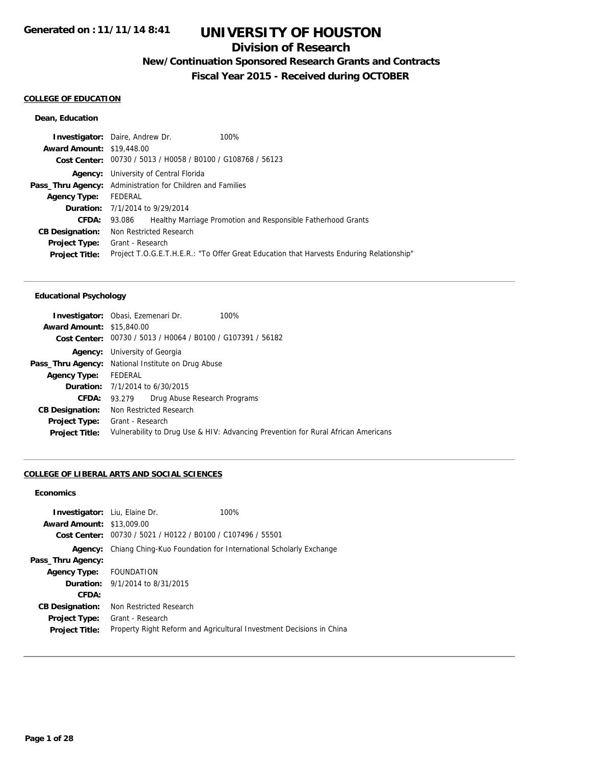### **Division of Research**

## **New/Continuation Sponsored Research Grants and Contracts**

**Fiscal Year 2015 - Received during OCTOBER**

### **COLLEGE OF EDUCATION**

#### **Dean, Education**

|                                  | <b>Investigator:</b> Daire, Andrew Dr.                                                   | 100%                                                         |  |
|----------------------------------|------------------------------------------------------------------------------------------|--------------------------------------------------------------|--|
| <b>Award Amount: \$19,448.00</b> |                                                                                          |                                                              |  |
|                                  | Cost Center: 00730 / 5013 / H0058 / B0100 / G108768 / 56123                              |                                                              |  |
|                                  | <b>Agency:</b> University of Central Florida                                             |                                                              |  |
|                                  | <b>Pass_Thru Agency:</b> Administration for Children and Families                        |                                                              |  |
| <b>Agency Type:</b>              | FEDERAL                                                                                  |                                                              |  |
|                                  | <b>Duration:</b> 7/1/2014 to 9/29/2014                                                   |                                                              |  |
| <b>CFDA:</b>                     | 93.086                                                                                   | Healthy Marriage Promotion and Responsible Fatherhood Grants |  |
| <b>CB Designation:</b>           | Non Restricted Research                                                                  |                                                              |  |
| <b>Project Type:</b>             | Grant - Research                                                                         |                                                              |  |
| <b>Project Title:</b>            | Project T.O.G.E.T.H.E.R.: "To Offer Great Education that Harvests Enduring Relationship" |                                                              |  |
|                                  |                                                                                          |                                                              |  |

#### **Educational Psychology**

|                                  | 100%<br><b>Investigator:</b> Obasi, Ezemenari Dr.                                 |  |  |
|----------------------------------|-----------------------------------------------------------------------------------|--|--|
| <b>Award Amount: \$15,840.00</b> |                                                                                   |  |  |
|                                  | Cost Center: 00730 / 5013 / H0064 / B0100 / G107391 / 56182                       |  |  |
| Agency:                          | University of Georgia                                                             |  |  |
|                                  | <b>Pass_Thru Agency:</b> National Institute on Drug Abuse                         |  |  |
| Agency Type: FEDERAL             |                                                                                   |  |  |
|                                  | <b>Duration:</b> $7/1/2014$ to $6/30/2015$                                        |  |  |
| CFDA: 93.279                     | Drug Abuse Research Programs                                                      |  |  |
| <b>CB Designation:</b>           | Non Restricted Research                                                           |  |  |
| <b>Project Type:</b>             | Grant - Research                                                                  |  |  |
| <b>Project Title:</b>            | Vulnerability to Drug Use & HIV: Advancing Prevention for Rural African Americans |  |  |

#### **COLLEGE OF LIBERAL ARTS AND SOCIAL SCIENCES**

#### **Economics**

| <b>Investigator:</b> Liu, Elaine Dr.<br><b>Award Amount: \$13,009.00</b><br>Cost Center: | 00730 / 5021 / H0122 / B0100 / C107496 / 55501                   | 100%                                                                 |
|------------------------------------------------------------------------------------------|------------------------------------------------------------------|----------------------------------------------------------------------|
| Agency:                                                                                  | Chiang Ching-Kuo Foundation for International Scholarly Exchange |                                                                      |
| Pass_Thru Agency:                                                                        |                                                                  |                                                                      |
| Agency Type: FOUNDATION                                                                  |                                                                  |                                                                      |
|                                                                                          | <b>Duration:</b> $9/1/2014$ to $8/31/2015$                       |                                                                      |
| CFDA:                                                                                    |                                                                  |                                                                      |
| <b>CB Designation:</b>                                                                   | Non Restricted Research                                          |                                                                      |
| <b>Project Type:</b>                                                                     | Grant - Research                                                 |                                                                      |
| <b>Project Title:</b>                                                                    |                                                                  | Property Right Reform and Agricultural Investment Decisions in China |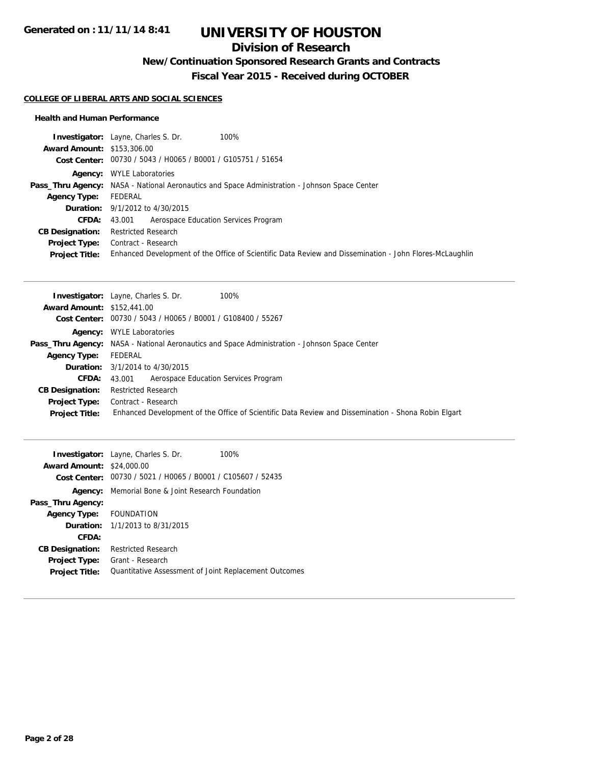## **Division of Research**

## **New/Continuation Sponsored Research Grants and Contracts**

**Fiscal Year 2015 - Received during OCTOBER**

#### **COLLEGE OF LIBERAL ARTS AND SOCIAL SCIENCES**

#### **Health and Human Performance**

|                                   | <b>Investigator:</b> Layne, Charles S. Dr.<br>100%                                                      |
|-----------------------------------|---------------------------------------------------------------------------------------------------------|
| <b>Award Amount: \$153,306.00</b> |                                                                                                         |
|                                   | Cost Center: 00730 / 5043 / H0065 / B0001 / G105751 / 51654                                             |
|                                   | <b>Agency:</b> WYLE Laboratories                                                                        |
|                                   | <b>Pass_Thru Agency:</b> NASA - National Aeronautics and Space Administration - Johnson Space Center    |
| <b>Agency Type:</b>               | FEDERAL                                                                                                 |
|                                   | <b>Duration:</b> 9/1/2012 to 4/30/2015                                                                  |
| <b>CFDA:</b>                      | Aerospace Education Services Program<br>43.001                                                          |
| <b>CB Designation:</b>            | <b>Restricted Research</b>                                                                              |
| <b>Project Type:</b>              | Contract - Research                                                                                     |
| <b>Project Title:</b>             | Enhanced Development of the Office of Scientific Data Review and Dissemination - John Flores-McLaughlin |

|                                   | <b>Investigator:</b> Layne, Charles S. Dr.<br>100%                                                   |
|-----------------------------------|------------------------------------------------------------------------------------------------------|
| <b>Award Amount: \$152,441.00</b> |                                                                                                      |
|                                   | Cost Center: 00730 / 5043 / H0065 / B0001 / G108400 / 55267                                          |
|                                   | <b>Agency:</b> WYLE Laboratories                                                                     |
|                                   | <b>Pass_Thru Agency:</b> NASA - National Aeronautics and Space Administration - Johnson Space Center |
| <b>Agency Type:</b>               | FEDERAL                                                                                              |
|                                   | <b>Duration:</b> 3/1/2014 to 4/30/2015                                                               |
| CFDA:                             | Aerospace Education Services Program<br>43.001                                                       |
| <b>CB Designation:</b>            | <b>Restricted Research</b>                                                                           |
| <b>Project Type:</b>              | Contract - Research                                                                                  |
| <b>Project Title:</b>             | Enhanced Development of the Office of Scientific Data Review and Dissemination - Shona Robin Elgart  |

|                                  | <b>Investigator:</b> Layne, Charles S. Dr.                  | 100% |
|----------------------------------|-------------------------------------------------------------|------|
| <b>Award Amount: \$24,000.00</b> |                                                             |      |
|                                  | Cost Center: 00730 / 5021 / H0065 / B0001 / C105607 / 52435 |      |
|                                  | <b>Agency:</b> Memorial Bone & Joint Research Foundation    |      |
| Pass_Thru Agency:                |                                                             |      |
| Agency Type: FOUNDATION          |                                                             |      |
|                                  | <b>Duration:</b> 1/1/2013 to 8/31/2015                      |      |
| CFDA:                            |                                                             |      |
| <b>CB Designation:</b>           | <b>Restricted Research</b>                                  |      |
| <b>Project Type:</b>             | Grant - Research                                            |      |
| <b>Project Title:</b>            | Quantitative Assessment of Joint Replacement Outcomes       |      |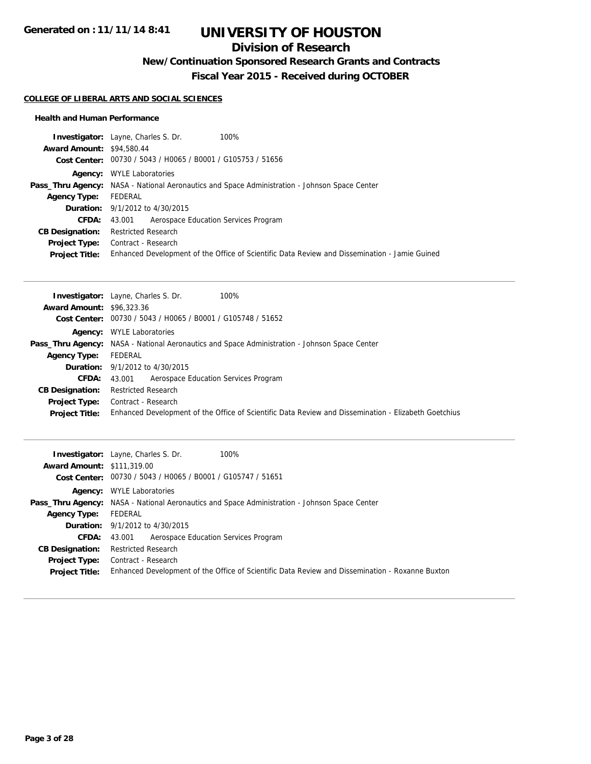## **Division of Research**

## **New/Continuation Sponsored Research Grants and Contracts**

**Fiscal Year 2015 - Received during OCTOBER**

#### **COLLEGE OF LIBERAL ARTS AND SOCIAL SCIENCES**

#### **Health and Human Performance**

| <b>Investigator:</b> Layne, Charles S. Dr.                  |                                                                                                      |
|-------------------------------------------------------------|------------------------------------------------------------------------------------------------------|
| <b>Award Amount: \$94,580.44</b>                            |                                                                                                      |
| Cost Center: 00730 / 5043 / H0065 / B0001 / G105753 / 51656 |                                                                                                      |
| <b>WYLE Laboratories</b><br>Aaencv:                         |                                                                                                      |
|                                                             | <b>Pass_Thru Agency:</b> NASA - National Aeronautics and Space Administration - Johnson Space Center |
| FEDERAL                                                     |                                                                                                      |
| <b>Duration:</b> 9/1/2012 to 4/30/2015                      |                                                                                                      |
| 43.001                                                      |                                                                                                      |
| <b>Restricted Research</b>                                  |                                                                                                      |
| <b>Project Type:</b> Contract - Research                    |                                                                                                      |
|                                                             | Enhanced Development of the Office of Scientific Data Review and Dissemination - Jamie Guined        |
|                                                             | 100%<br>Aerospace Education Services Program                                                         |

| <b>Investigator:</b> Layne, Charles S. Dr.<br>100%                                                   |
|------------------------------------------------------------------------------------------------------|
| <b>Award Amount: \$96,323,36</b>                                                                     |
| Cost Center: 00730 / 5043 / H0065 / B0001 / G105748 / 51652                                          |
| <b>Agency:</b> WYLE Laboratories                                                                     |
| <b>Pass_Thru Agency:</b> NASA - National Aeronautics and Space Administration - Johnson Space Center |
| FEDERAL                                                                                              |
| <b>Duration:</b> 9/1/2012 to 4/30/2015                                                               |
| <b>CFDA:</b> 43.001 Aerospace Education Services Program                                             |
| <b>Restricted Research</b>                                                                           |
| Contract - Research                                                                                  |
| Enhanced Development of the Office of Scientific Data Review and Dissemination - Elizabeth Goetchius |
|                                                                                                      |

|                                   | 100%<br><b>Investigator:</b> Layne, Charles S. Dr.                                                   |
|-----------------------------------|------------------------------------------------------------------------------------------------------|
| <b>Award Amount: \$111,319.00</b> |                                                                                                      |
|                                   | Cost Center: 00730 / 5043 / H0065 / B0001 / G105747 / 51651                                          |
|                                   | <b>Agency:</b> WYLE Laboratories                                                                     |
|                                   | <b>Pass_Thru Agency:</b> NASA - National Aeronautics and Space Administration - Johnson Space Center |
| <b>Agency Type:</b>               | FEDERAL                                                                                              |
|                                   | <b>Duration:</b> 9/1/2012 to 4/30/2015                                                               |
| CFDA:                             | Aerospace Education Services Program<br>43.001                                                       |
| <b>CB Designation:</b>            | Restricted Research                                                                                  |
| <b>Project Type:</b>              | Contract - Research                                                                                  |
| <b>Project Title:</b>             | Enhanced Development of the Office of Scientific Data Review and Dissemination - Roxanne Buxton      |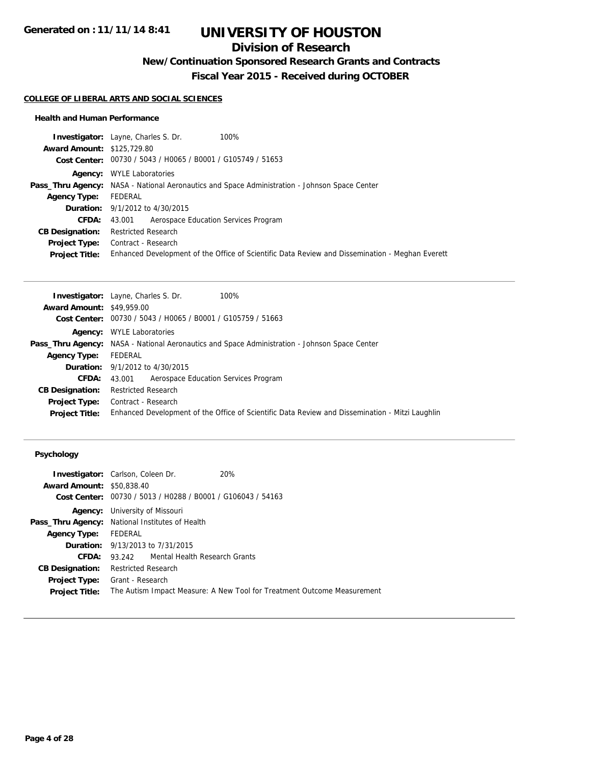## **Division of Research**

**New/Continuation Sponsored Research Grants and Contracts**

**Fiscal Year 2015 - Received during OCTOBER**

#### **COLLEGE OF LIBERAL ARTS AND SOCIAL SCIENCES**

#### **Health and Human Performance**

|                                   | <b>Investigator:</b> Layne, Charles S. Dr.<br>100%                                                   |
|-----------------------------------|------------------------------------------------------------------------------------------------------|
| <b>Award Amount: \$125,729.80</b> |                                                                                                      |
|                                   | Cost Center: 00730 / 5043 / H0065 / B0001 / G105749 / 51653                                          |
|                                   | <b>Agency:</b> WYLE Laboratories                                                                     |
|                                   | <b>Pass_Thru Agency:</b> NASA - National Aeronautics and Space Administration - Johnson Space Center |
| <b>Agency Type:</b>               | FEDERAL                                                                                              |
|                                   | <b>Duration:</b> 9/1/2012 to 4/30/2015                                                               |
| <b>CFDA:</b>                      | 43.001 Aerospace Education Services Program                                                          |
| <b>CB Designation:</b>            | Restricted Research                                                                                  |
| <b>Project Type:</b>              | Contract - Research                                                                                  |
| <b>Project Title:</b>             | Enhanced Development of the Office of Scientific Data Review and Dissemination - Meghan Everett      |

| <b>Investigator:</b> Layne, Charles S. Dr.<br>100%                                                   |  |  |
|------------------------------------------------------------------------------------------------------|--|--|
| <b>Award Amount: \$49,959.00</b>                                                                     |  |  |
| Cost Center: 00730 / 5043 / H0065 / B0001 / G105759 / 51663                                          |  |  |
| <b>WYLE Laboratories</b><br>Agency:                                                                  |  |  |
| <b>Pass_Thru Agency:</b> NASA - National Aeronautics and Space Administration - Johnson Space Center |  |  |
| FEDERAL                                                                                              |  |  |
| <b>Duration:</b> 9/1/2012 to 4/30/2015                                                               |  |  |
| Aerospace Education Services Program<br>43.001                                                       |  |  |
| <b>Restricted Research</b>                                                                           |  |  |
| <b>Project Type:</b> Contract - Research                                                             |  |  |
| Enhanced Development of the Office of Scientific Data Review and Dissemination - Mitzi Laughlin      |  |  |
|                                                                                                      |  |  |

#### **Psychology**

|                                  | <b>Investigator:</b> Carlson, Coleen Dr.                                | 20% |  |
|----------------------------------|-------------------------------------------------------------------------|-----|--|
| <b>Award Amount: \$50,838.40</b> |                                                                         |     |  |
|                                  | Cost Center: 00730 / 5013 / H0288 / B0001 / G106043 / 54163             |     |  |
|                                  | <b>Agency:</b> University of Missouri                                   |     |  |
|                                  | Pass_Thru Agency: National Institutes of Health                         |     |  |
| <b>Agency Type:</b>              | FEDERAL                                                                 |     |  |
|                                  | <b>Duration:</b> 9/13/2013 to 7/31/2015                                 |     |  |
| CFDA:                            | 93.242 Mental Health Research Grants                                    |     |  |
| <b>CB Designation:</b>           | Restricted Research                                                     |     |  |
|                                  | <b>Project Type:</b> Grant - Research                                   |     |  |
| <b>Project Title:</b>            | The Autism Impact Measure: A New Tool for Treatment Outcome Measurement |     |  |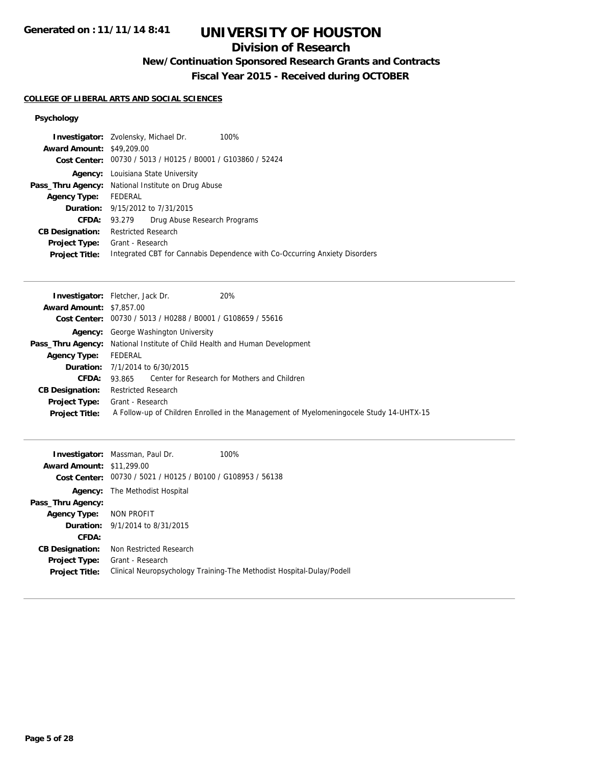## **Division of Research**

## **New/Continuation Sponsored Research Grants and Contracts**

**Fiscal Year 2015 - Received during OCTOBER**

### **COLLEGE OF LIBERAL ARTS AND SOCIAL SCIENCES**

### **Psychology**

| <b>Investigator:</b> Zvolensky, Michael Dr.               |                                                             |                                           | 100%                                                                       |
|-----------------------------------------------------------|-------------------------------------------------------------|-------------------------------------------|----------------------------------------------------------------------------|
| <b>Award Amount: \$49,209.00</b>                          |                                                             |                                           |                                                                            |
|                                                           | Cost Center: 00730 / 5013 / H0125 / B0001 / G103860 / 52424 |                                           |                                                                            |
|                                                           |                                                             | <b>Agency:</b> Louisiana State University |                                                                            |
| <b>Pass_Thru Agency:</b> National Institute on Drug Abuse |                                                             |                                           |                                                                            |
| <b>Agency Type:</b>                                       | FEDERAL                                                     |                                           |                                                                            |
|                                                           |                                                             | <b>Duration:</b> 9/15/2012 to 7/31/2015   |                                                                            |
| <b>CFDA:</b>                                              | 93.279                                                      | Drug Abuse Research Programs              |                                                                            |
| <b>CB Designation:</b>                                    | Restricted Research                                         |                                           |                                                                            |
| <b>Project Type:</b>                                      | Grant - Research                                            |                                           |                                                                            |
| <b>Project Title:</b>                                     |                                                             |                                           | Integrated CBT for Cannabis Dependence with Co-Occurring Anxiety Disorders |
|                                                           |                                                             |                                           |                                                                            |

|                                 | <b>Investigator:</b> Fletcher, Jack Dr.<br>20%                                           |
|---------------------------------|------------------------------------------------------------------------------------------|
| <b>Award Amount: \$7,857,00</b> |                                                                                          |
| <b>Cost Center:</b>             | 00730 / 5013 / H0288 / B0001 / G108659 / 55616                                           |
|                                 | <b>Agency:</b> George Washington University                                              |
| Pass_Thru Agency:               | National Institute of Child Health and Human Development                                 |
| <b>Agency Type:</b>             | FEDERAL                                                                                  |
|                                 | <b>Duration:</b> $7/1/2014$ to $6/30/2015$                                               |
| CFDA:                           | Center for Research for Mothers and Children<br>93.865                                   |
| <b>CB Designation:</b>          | Restricted Research                                                                      |
| <b>Project Type:</b>            | Grant - Research                                                                         |
| <b>Project Title:</b>           | A Follow-up of Children Enrolled in the Management of Myelomening ocele Study 14-UHTX-15 |

| <b>Award Amount: \$11,299.00</b> | <b>Investigator:</b> Massman, Paul Dr.<br>Cost Center: 00730 / 5021 / H0125 / B0100 / G108953 / 56138 | 100%                                                                  |
|----------------------------------|-------------------------------------------------------------------------------------------------------|-----------------------------------------------------------------------|
|                                  | <b>Agency:</b> The Methodist Hospital                                                                 |                                                                       |
| Pass_Thru Agency:                |                                                                                                       |                                                                       |
| <b>Agency Type:</b>              | NON PROFIT                                                                                            |                                                                       |
|                                  | <b>Duration:</b> 9/1/2014 to 8/31/2015                                                                |                                                                       |
| CFDA:                            |                                                                                                       |                                                                       |
| <b>CB Designation:</b>           | Non Restricted Research                                                                               |                                                                       |
| <b>Project Type:</b>             | Grant - Research                                                                                      |                                                                       |
| <b>Project Title:</b>            |                                                                                                       | Clinical Neuropsychology Training-The Methodist Hospital-Dulay/Podell |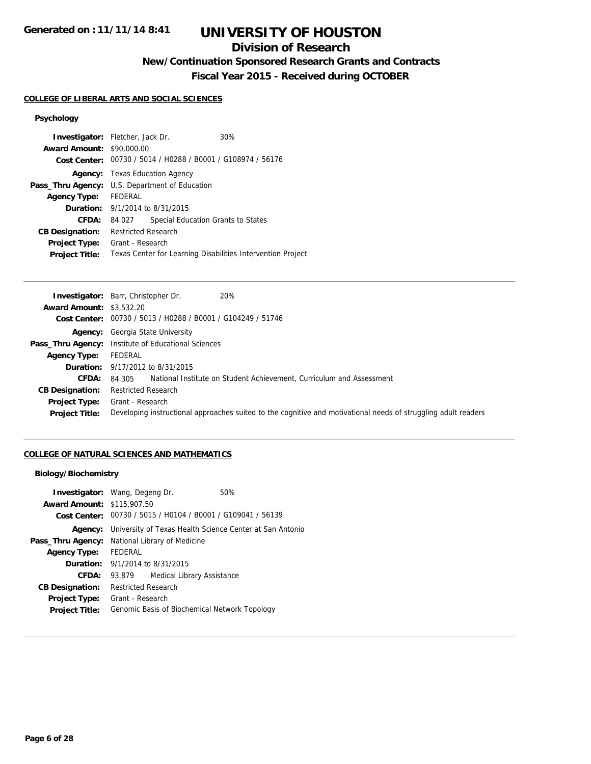## **Division of Research**

**New/Continuation Sponsored Research Grants and Contracts**

**Fiscal Year 2015 - Received during OCTOBER**

#### **COLLEGE OF LIBERAL ARTS AND SOCIAL SCIENCES**

## **Psychology**

| <b>Investigator:</b> Fletcher, Jack Dr.        |                            |                                        | 30%                                                         |  |
|------------------------------------------------|----------------------------|----------------------------------------|-------------------------------------------------------------|--|
| <b>Award Amount: \$90,000.00</b>               |                            |                                        |                                                             |  |
|                                                |                            |                                        | Cost Center: 00730 / 5014 / H0288 / B0001 / G108974 / 56176 |  |
|                                                |                            | <b>Agency:</b> Texas Education Agency  |                                                             |  |
| Pass_Thru Agency: U.S. Department of Education |                            |                                        |                                                             |  |
| Agency Type: FEDERAL                           |                            |                                        |                                                             |  |
|                                                |                            | <b>Duration:</b> 9/1/2014 to 8/31/2015 |                                                             |  |
| CFDA:                                          | 84.027                     |                                        | Special Education Grants to States                          |  |
| <b>CB Designation:</b>                         | <b>Restricted Research</b> |                                        |                                                             |  |
| <b>Project Type:</b>                           | Grant - Research           |                                        |                                                             |  |
| <b>Project Title:</b>                          |                            |                                        | Texas Center for Learning Disabilities Intervention Project |  |
|                                                |                            |                                        |                                                             |  |

|                                 | <b>Investigator:</b> Barr, Christopher Dr.<br>20%                                                              |
|---------------------------------|----------------------------------------------------------------------------------------------------------------|
| <b>Award Amount: \$3,532.20</b> |                                                                                                                |
|                                 | Cost Center: 00730 / 5013 / H0288 / B0001 / G104249 / 51746                                                    |
|                                 | <b>Agency:</b> Georgia State University                                                                        |
|                                 | <b>Pass_Thru Agency:</b> Institute of Educational Sciences                                                     |
| <b>Agency Type:</b>             | FEDERAL                                                                                                        |
|                                 | <b>Duration:</b> 9/17/2012 to 8/31/2015                                                                        |
| <b>CFDA:</b>                    | National Institute on Student Achievement, Curriculum and Assessment<br>84.305                                 |
| <b>CB Designation:</b>          | <b>Restricted Research</b>                                                                                     |
| <b>Project Type:</b>            | Grant - Research                                                                                               |
| <b>Project Title:</b>           | Developing instructional approaches suited to the cognitive and motivational needs of struggling adult readers |

#### **COLLEGE OF NATURAL SCIENCES AND MATHEMATICS**

#### **Biology/Biochemistry**

| <b>Award Amount: \$115,907.50</b>              | <b>Investigator:</b> Wang, Degeng Dr.  | 50%<br>Cost Center: 00730 / 5015 / H0104 / B0001 / G109041 / 56139 |
|------------------------------------------------|----------------------------------------|--------------------------------------------------------------------|
| Agency:                                        |                                        | University of Texas Health Science Center at San Antonio           |
| Pass_Thru Agency: National Library of Medicine |                                        |                                                                    |
|                                                |                                        |                                                                    |
| <b>Agency Type:</b>                            | FEDERAL                                |                                                                    |
|                                                | <b>Duration:</b> 9/1/2014 to 8/31/2015 |                                                                    |
| <b>CFDA:</b>                                   | 93.879                                 | Medical Library Assistance                                         |
| <b>CB Designation:</b>                         | <b>Restricted Research</b>             |                                                                    |
| <b>Project Type:</b>                           | Grant - Research                       |                                                                    |
| <b>Project Title:</b>                          |                                        | Genomic Basis of Biochemical Network Topology                      |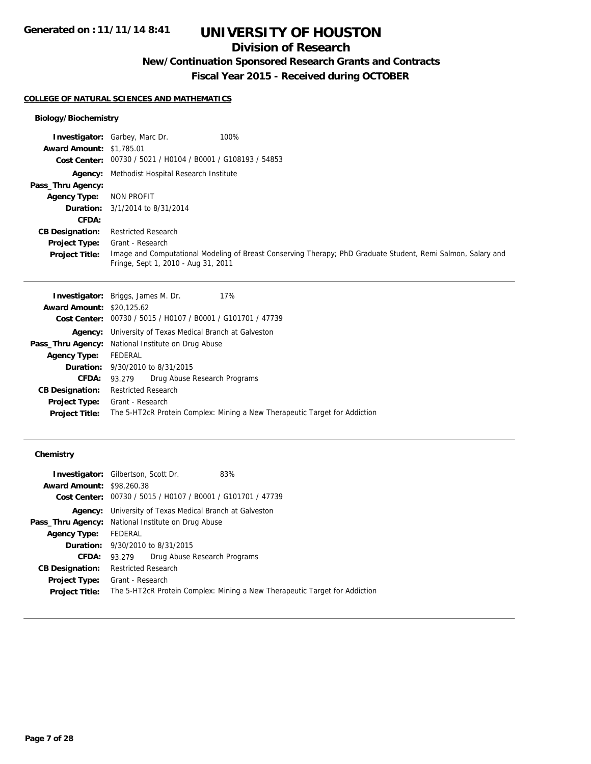## **Division of Research**

**New/Continuation Sponsored Research Grants and Contracts**

**Fiscal Year 2015 - Received during OCTOBER**

#### **COLLEGE OF NATURAL SCIENCES AND MATHEMATICS**

#### **Biology/Biochemistry**

|                                 | <b>Investigator:</b> Garbey, Marc Dr.<br>100%                                                                                                       |
|---------------------------------|-----------------------------------------------------------------------------------------------------------------------------------------------------|
| <b>Award Amount: \$1,785.01</b> |                                                                                                                                                     |
|                                 | Cost Center: 00730 / 5021 / H0104 / B0001 / G108193 / 54853                                                                                         |
|                                 | <b>Agency:</b> Methodist Hospital Research Institute                                                                                                |
| Pass_Thru Agency:               |                                                                                                                                                     |
| <b>Agency Type:</b>             | NON PROFIT                                                                                                                                          |
|                                 | <b>Duration:</b> $3/1/2014$ to $8/31/2014$                                                                                                          |
| CFDA:                           |                                                                                                                                                     |
| <b>CB Designation:</b>          | <b>Restricted Research</b>                                                                                                                          |
| <b>Project Type:</b>            | Grant - Research                                                                                                                                    |
| <b>Project Title:</b>           | Image and Computational Modeling of Breast Conserving Therapy; PhD Graduate Student, Remi Salmon, Salary and<br>Fringe, Sept 1, 2010 - Aug 31, 2011 |

|                                  | <b>Investigator:</b> Briggs, James M. Dr.<br>17%                           |  |  |
|----------------------------------|----------------------------------------------------------------------------|--|--|
| <b>Award Amount: \$20,125.62</b> |                                                                            |  |  |
|                                  | Cost Center: 00730 / 5015 / H0107 / B0001 / G101701 / 47739                |  |  |
|                                  | <b>Agency:</b> University of Texas Medical Branch at Galveston             |  |  |
|                                  | <b>Pass_Thru Agency:</b> National Institute on Drug Abuse                  |  |  |
| <b>Agency Type:</b>              | FEDERAL                                                                    |  |  |
|                                  | <b>Duration:</b> 9/30/2010 to 8/31/2015                                    |  |  |
| <b>CFDA:</b>                     | Drug Abuse Research Programs<br>93.279                                     |  |  |
| <b>CB Designation:</b>           | <b>Restricted Research</b>                                                 |  |  |
|                                  | <b>Project Type:</b> Grant - Research                                      |  |  |
| <b>Project Title:</b>            | The 5-HT2cR Protein Complex: Mining a New Therapeutic Target for Addiction |  |  |
|                                  |                                                                            |  |  |

#### **Chemistry**

| <b>Investigator:</b> Gilbertson, Scott Dr. | 83%                                                                                                                           |                                                                                                                                                                                                                                                                                           |
|--------------------------------------------|-------------------------------------------------------------------------------------------------------------------------------|-------------------------------------------------------------------------------------------------------------------------------------------------------------------------------------------------------------------------------------------------------------------------------------------|
|                                            |                                                                                                                               |                                                                                                                                                                                                                                                                                           |
|                                            |                                                                                                                               |                                                                                                                                                                                                                                                                                           |
|                                            |                                                                                                                               |                                                                                                                                                                                                                                                                                           |
|                                            |                                                                                                                               |                                                                                                                                                                                                                                                                                           |
|                                            |                                                                                                                               |                                                                                                                                                                                                                                                                                           |
| <b>FEDERAL</b>                             |                                                                                                                               |                                                                                                                                                                                                                                                                                           |
|                                            |                                                                                                                               |                                                                                                                                                                                                                                                                                           |
| 93.279                                     |                                                                                                                               |                                                                                                                                                                                                                                                                                           |
|                                            |                                                                                                                               |                                                                                                                                                                                                                                                                                           |
|                                            |                                                                                                                               |                                                                                                                                                                                                                                                                                           |
|                                            |                                                                                                                               |                                                                                                                                                                                                                                                                                           |
|                                            | <b>Award Amount: \$98,260.38</b><br><b>Duration:</b> 9/30/2010 to 8/31/2015<br><b>Restricted Research</b><br>Grant - Research | Cost Center: 00730 / 5015 / H0107 / B0001 / G101701 / 47739<br>University of Texas Medical Branch at Galveston<br><b>Pass_Thru Agency:</b> National Institute on Drug Abuse<br>Drug Abuse Research Programs<br>The 5-HT2cR Protein Complex: Mining a New Therapeutic Target for Addiction |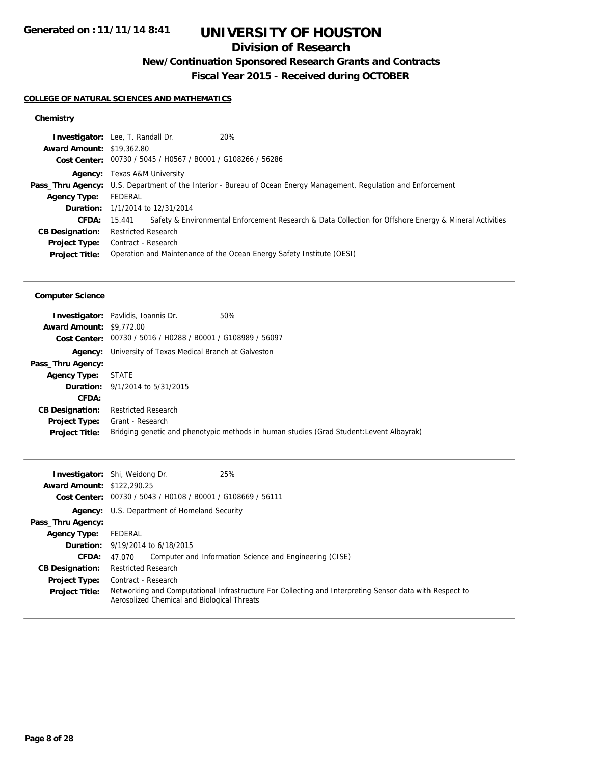## **Division of Research**

## **New/Continuation Sponsored Research Grants and Contracts**

**Fiscal Year 2015 - Received during OCTOBER**

#### **COLLEGE OF NATURAL SCIENCES AND MATHEMATICS**

### **Chemistry**

| <b>Award Amount: \$19,362.80</b><br>Cost Center: 00730 / 5045 / H0567 / B0001 / G108266 / 56286<br><b>Agency:</b> Texas A&M University<br>Pass_Thru Agency: U.S. Department of the Interior - Bureau of Ocean Energy Management, Regulation and Enforcement<br>FEDERAL<br><b>Agency Type:</b><br><b>Duration:</b> 1/1/2014 to 12/31/2014<br>CFDA:<br>15.441<br><b>Restricted Research</b><br><b>CB Designation:</b><br>Contract - Research<br><b>Project Type:</b><br>Operation and Maintenance of the Ocean Energy Safety Institute (OESI)<br><b>Project Title:</b> | 20%<br><b>Investigator:</b> Lee, T. Randall Dr.                                                        |
|----------------------------------------------------------------------------------------------------------------------------------------------------------------------------------------------------------------------------------------------------------------------------------------------------------------------------------------------------------------------------------------------------------------------------------------------------------------------------------------------------------------------------------------------------------------------|--------------------------------------------------------------------------------------------------------|
|                                                                                                                                                                                                                                                                                                                                                                                                                                                                                                                                                                      |                                                                                                        |
|                                                                                                                                                                                                                                                                                                                                                                                                                                                                                                                                                                      |                                                                                                        |
|                                                                                                                                                                                                                                                                                                                                                                                                                                                                                                                                                                      |                                                                                                        |
|                                                                                                                                                                                                                                                                                                                                                                                                                                                                                                                                                                      |                                                                                                        |
|                                                                                                                                                                                                                                                                                                                                                                                                                                                                                                                                                                      |                                                                                                        |
|                                                                                                                                                                                                                                                                                                                                                                                                                                                                                                                                                                      |                                                                                                        |
|                                                                                                                                                                                                                                                                                                                                                                                                                                                                                                                                                                      | Safety & Environmental Enforcement Research & Data Collection for Offshore Energy & Mineral Activities |
|                                                                                                                                                                                                                                                                                                                                                                                                                                                                                                                                                                      |                                                                                                        |
|                                                                                                                                                                                                                                                                                                                                                                                                                                                                                                                                                                      |                                                                                                        |
|                                                                                                                                                                                                                                                                                                                                                                                                                                                                                                                                                                      |                                                                                                        |

#### **Computer Science**

|                                 | <b>Investigator:</b> Pavlidis, Ioannis Dr.                     | 50%                                                                                      |
|---------------------------------|----------------------------------------------------------------|------------------------------------------------------------------------------------------|
| <b>Award Amount: \$9,772.00</b> |                                                                |                                                                                          |
|                                 | Cost Center: 00730 / 5016 / H0288 / B0001 / G108989 / 56097    |                                                                                          |
|                                 | <b>Agency:</b> University of Texas Medical Branch at Galveston |                                                                                          |
| Pass_Thru Agency:               |                                                                |                                                                                          |
| Agency Type: STATE              |                                                                |                                                                                          |
|                                 | <b>Duration:</b> 9/1/2014 to 5/31/2015                         |                                                                                          |
| CFDA:                           |                                                                |                                                                                          |
| <b>CB Designation:</b>          | <b>Restricted Research</b>                                     |                                                                                          |
| <b>Project Type:</b>            | Grant - Research                                               |                                                                                          |
| <b>Project Title:</b>           |                                                                | Bridging genetic and phenotypic methods in human studies (Grad Student: Levent Albayrak) |

| <b>Award Amount: \$122,290.25</b> | 25%<br><b>Investigator:</b> Shi, Weidong Dr.<br>Cost Center: 00730 / 5043 / H0108 / B0001 / G108669 / 56111                                            |
|-----------------------------------|--------------------------------------------------------------------------------------------------------------------------------------------------------|
|                                   | <b>Agency:</b> U.S. Department of Homeland Security                                                                                                    |
| Pass_Thru Agency:                 |                                                                                                                                                        |
| <b>Agency Type:</b>               | FEDERAL                                                                                                                                                |
|                                   | <b>Duration:</b> 9/19/2014 to 6/18/2015                                                                                                                |
| <b>CFDA:</b>                      | Computer and Information Science and Engineering (CISE)<br>47.070                                                                                      |
| <b>CB Designation:</b>            | <b>Restricted Research</b>                                                                                                                             |
| <b>Project Type:</b>              | Contract - Research                                                                                                                                    |
| <b>Project Title:</b>             | Networking and Computational Infrastructure For Collecting and Interpreting Sensor data with Respect to<br>Aerosolized Chemical and Biological Threats |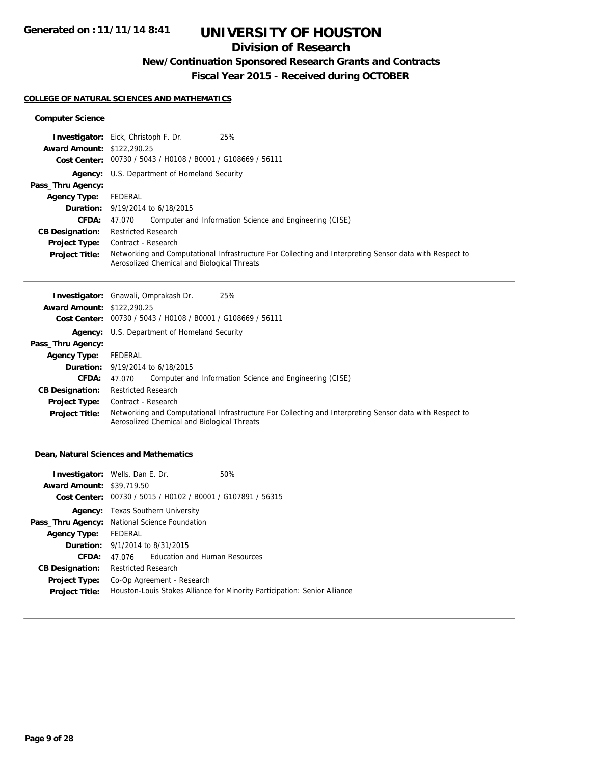## **Division of Research**

### **New/Continuation Sponsored Research Grants and Contracts**

**Fiscal Year 2015 - Received during OCTOBER**

#### **COLLEGE OF NATURAL SCIENCES AND MATHEMATICS**

#### **Computer Science**

|                                   | 25%<br><b>Investigator:</b> Eick, Christoph F. Dr.                                                                                                     |
|-----------------------------------|--------------------------------------------------------------------------------------------------------------------------------------------------------|
| <b>Award Amount: \$122,290.25</b> |                                                                                                                                                        |
|                                   | Cost Center: 00730 / 5043 / H0108 / B0001 / G108669 / 56111                                                                                            |
|                                   | <b>Agency:</b> U.S. Department of Homeland Security                                                                                                    |
| Pass_Thru Agency:                 |                                                                                                                                                        |
| <b>Agency Type:</b>               | FEDERAL                                                                                                                                                |
|                                   | <b>Duration:</b> 9/19/2014 to 6/18/2015                                                                                                                |
| <b>CFDA:</b>                      | Computer and Information Science and Engineering (CISE)<br>47.070                                                                                      |
| <b>CB Designation:</b>            | <b>Restricted Research</b>                                                                                                                             |
| <b>Project Type:</b>              | Contract - Research                                                                                                                                    |
| <b>Project Title:</b>             | Networking and Computational Infrastructure For Collecting and Interpreting Sensor data with Respect to<br>Aerosolized Chemical and Biological Threats |

|                                   | 25%<br><b>Investigator:</b> Gnawali, Omprakash Dr.                                                                                                     |
|-----------------------------------|--------------------------------------------------------------------------------------------------------------------------------------------------------|
| <b>Award Amount: \$122,290.25</b> |                                                                                                                                                        |
|                                   | Cost Center: 00730 / 5043 / H0108 / B0001 / G108669 / 56111                                                                                            |
|                                   | <b>Agency:</b> U.S. Department of Homeland Security                                                                                                    |
| Pass_Thru Agency:                 |                                                                                                                                                        |
| <b>Agency Type:</b>               | FEDERAL                                                                                                                                                |
|                                   | <b>Duration:</b> 9/19/2014 to 6/18/2015                                                                                                                |
| <b>CFDA:</b>                      | Computer and Information Science and Engineering (CISE)<br>47.070                                                                                      |
| <b>CB Designation:</b>            | <b>Restricted Research</b>                                                                                                                             |
| <b>Project Type:</b>              | Contract - Research                                                                                                                                    |
| <b>Project Title:</b>             | Networking and Computational Infrastructure For Collecting and Interpreting Sensor data with Respect to<br>Aerosolized Chemical and Biological Threats |

#### **Dean, Natural Sciences and Mathematics**

| <b>Investigator:</b> Wells, Dan E. Dr.        |                            |                                                             | 50%                                                                       |
|-----------------------------------------------|----------------------------|-------------------------------------------------------------|---------------------------------------------------------------------------|
| <b>Award Amount: \$39,719.50</b>              |                            |                                                             |                                                                           |
|                                               |                            | Cost Center: 00730 / 5015 / H0102 / B0001 / G107891 / 56315 |                                                                           |
|                                               |                            | <b>Agency:</b> Texas Southern University                    |                                                                           |
| Pass_Thru Agency: National Science Foundation |                            |                                                             |                                                                           |
| <b>Agency Type:</b>                           | FEDERAL                    |                                                             |                                                                           |
|                                               |                            | <b>Duration:</b> 9/1/2014 to 8/31/2015                      |                                                                           |
| CFDA:                                         | 47.076                     | Education and Human Resources                               |                                                                           |
| <b>CB Designation:</b>                        | <b>Restricted Research</b> |                                                             |                                                                           |
| <b>Project Type:</b>                          |                            | Co-Op Agreement - Research                                  |                                                                           |
| <b>Project Title:</b>                         |                            |                                                             | Houston-Louis Stokes Alliance for Minority Participation: Senior Alliance |
|                                               |                            |                                                             |                                                                           |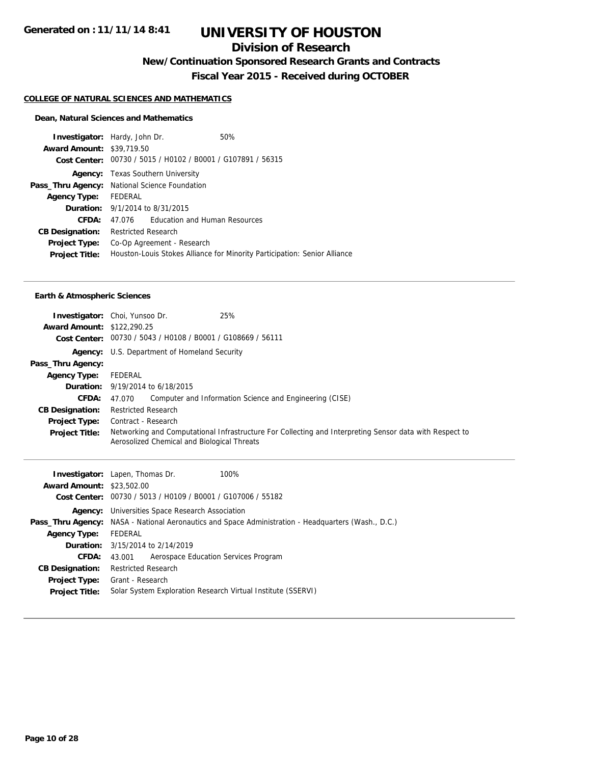## **Division of Research**

**New/Continuation Sponsored Research Grants and Contracts**

**Fiscal Year 2015 - Received during OCTOBER**

#### **COLLEGE OF NATURAL SCIENCES AND MATHEMATICS**

#### **Dean, Natural Sciences and Mathematics**

|                                               | <b>Investigator:</b> Hardy, John Dr.     | 50%                                                                       |
|-----------------------------------------------|------------------------------------------|---------------------------------------------------------------------------|
| <b>Award Amount: \$39,719.50</b>              |                                          |                                                                           |
|                                               |                                          | Cost Center: 00730 / 5015 / H0102 / B0001 / G107891 / 56315               |
|                                               | <b>Agency:</b> Texas Southern University |                                                                           |
| Pass_Thru Agency: National Science Foundation |                                          |                                                                           |
| Agency Type: FEDERAL                          |                                          |                                                                           |
|                                               | <b>Duration:</b> 9/1/2014 to 8/31/2015   |                                                                           |
| CFDA:                                         |                                          | 47.076 Education and Human Resources                                      |
| <b>CB Designation:</b>                        | <b>Restricted Research</b>               |                                                                           |
| <b>Project Type:</b>                          | Co-Op Agreement - Research               |                                                                           |
| <b>Project Title:</b>                         |                                          | Houston-Louis Stokes Alliance for Minority Participation: Senior Alliance |

#### **Earth & Atmospheric Sciences**

| <b>Award Amount: \$122,290.25</b> | 25%<br><b>Investigator:</b> Choi, Yunsoo Dr.<br>Cost Center: 00730 / 5043 / H0108 / B0001 / G108669 / 56111                                            |
|-----------------------------------|--------------------------------------------------------------------------------------------------------------------------------------------------------|
|                                   | <b>Agency:</b> U.S. Department of Homeland Security                                                                                                    |
| Pass_Thru Agency:                 |                                                                                                                                                        |
| <b>Agency Type:</b>               | FEDERAL                                                                                                                                                |
|                                   | <b>Duration:</b> 9/19/2014 to 6/18/2015                                                                                                                |
| <b>CFDA:</b>                      | Computer and Information Science and Engineering (CISE)<br>47.070                                                                                      |
| <b>CB Designation:</b>            | <b>Restricted Research</b>                                                                                                                             |
| Project Type:                     | Contract - Research                                                                                                                                    |
| <b>Project Title:</b>             | Networking and Computational Infrastructure For Collecting and Interpreting Sensor data with Respect to<br>Aerosolized Chemical and Biological Threats |

| <b>Award Amount: \$23,502.00</b> | <b>Investigator:</b> Lapen, Thomas Dr.<br>100%                                                             |
|----------------------------------|------------------------------------------------------------------------------------------------------------|
|                                  | Cost Center: 00730 / 5013 / H0109 / B0001 / G107006 / 55182                                                |
|                                  | <b>Agency:</b> Universities Space Research Association                                                     |
|                                  | <b>Pass_Thru Agency:</b> NASA - National Aeronautics and Space Administration - Headquarters (Wash., D.C.) |
| <b>Agency Type:</b>              | FEDERAL                                                                                                    |
|                                  | <b>Duration:</b> 3/15/2014 to 2/14/2019                                                                    |
| <b>CFDA:</b>                     | Aerospace Education Services Program<br>43.001                                                             |
| <b>CB Designation:</b>           | <b>Restricted Research</b>                                                                                 |
|                                  | <b>Project Type:</b> Grant - Research                                                                      |
| <b>Project Title:</b>            | Solar System Exploration Research Virtual Institute (SSERVI)                                               |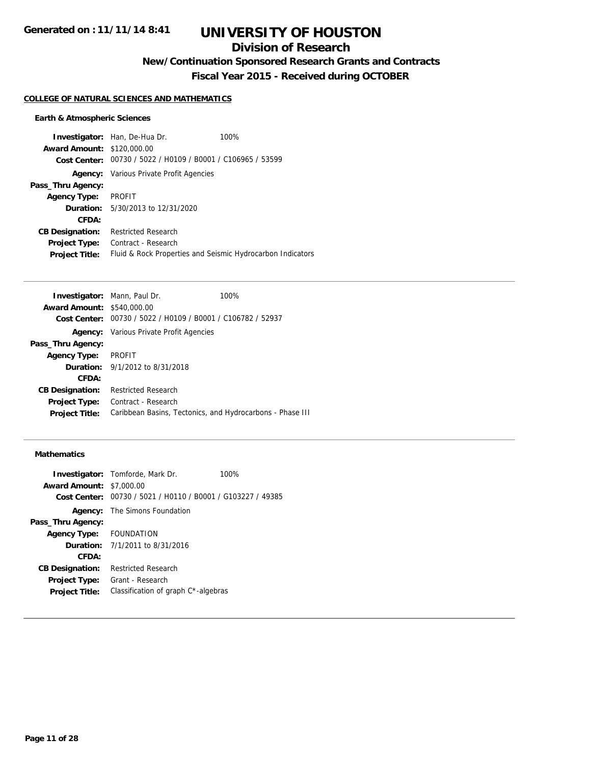## **Division of Research**

**New/Continuation Sponsored Research Grants and Contracts**

**Fiscal Year 2015 - Received during OCTOBER**

#### **COLLEGE OF NATURAL SCIENCES AND MATHEMATICS**

#### **Earth & Atmospheric Sciences**

|                                   | <b>Investigator:</b> Han, De-Hua Dr.                       | 100% |
|-----------------------------------|------------------------------------------------------------|------|
| <b>Award Amount: \$120,000.00</b> |                                                            |      |
| Cost Center:                      | 00730 / 5022 / H0109 / B0001 / C106965 / 53599             |      |
| Agency:                           | Various Private Profit Agencies                            |      |
| Pass_Thru Agency:                 |                                                            |      |
| <b>Agency Type:</b>               | <b>PROFIT</b>                                              |      |
|                                   | <b>Duration:</b> 5/30/2013 to 12/31/2020                   |      |
| CFDA:                             |                                                            |      |
| <b>CB Designation:</b>            | <b>Restricted Research</b>                                 |      |
| <b>Project Type:</b>              | Contract - Research                                        |      |
| <b>Project Title:</b>             | Fluid & Rock Properties and Seismic Hydrocarbon Indicators |      |

| <b>Investigator:</b> Mann, Paul Dr. |                                                           | 100% |
|-------------------------------------|-----------------------------------------------------------|------|
| <b>Award Amount: \$540,000.00</b>   |                                                           |      |
| Cost Center:                        | 00730 / 5022 / H0109 / B0001 / C106782 / 52937            |      |
|                                     | <b>Agency:</b> Various Private Profit Agencies            |      |
| Pass_Thru Agency:                   |                                                           |      |
| <b>Agency Type:</b>                 | PROFIT                                                    |      |
|                                     | <b>Duration:</b> 9/1/2012 to 8/31/2018                    |      |
| CFDA:                               |                                                           |      |
| <b>CB Designation:</b>              | <b>Restricted Research</b>                                |      |
| <b>Project Type:</b>                | Contract - Research                                       |      |
| <b>Project Title:</b>               | Caribbean Basins, Tectonics, and Hydrocarbons - Phase III |      |

#### **Mathematics**

| <b>Award Amount: \$7,000.00</b> | <b>Investigator:</b> Tomforde, Mark Dr.                     | 100% |
|---------------------------------|-------------------------------------------------------------|------|
|                                 | Cost Center: 00730 / 5021 / H0110 / B0001 / G103227 / 49385 |      |
|                                 | <b>Agency:</b> The Simons Foundation                        |      |
| Pass_Thru Agency:               |                                                             |      |
| Agency Type: FOUNDATION         |                                                             |      |
|                                 | <b>Duration:</b> $7/1/2011$ to $8/31/2016$                  |      |
| CFDA:                           |                                                             |      |
| <b>CB Designation:</b>          | <b>Restricted Research</b>                                  |      |
| <b>Project Type:</b>            | Grant - Research                                            |      |
| <b>Project Title:</b>           | Classification of graph C*-algebras                         |      |
|                                 |                                                             |      |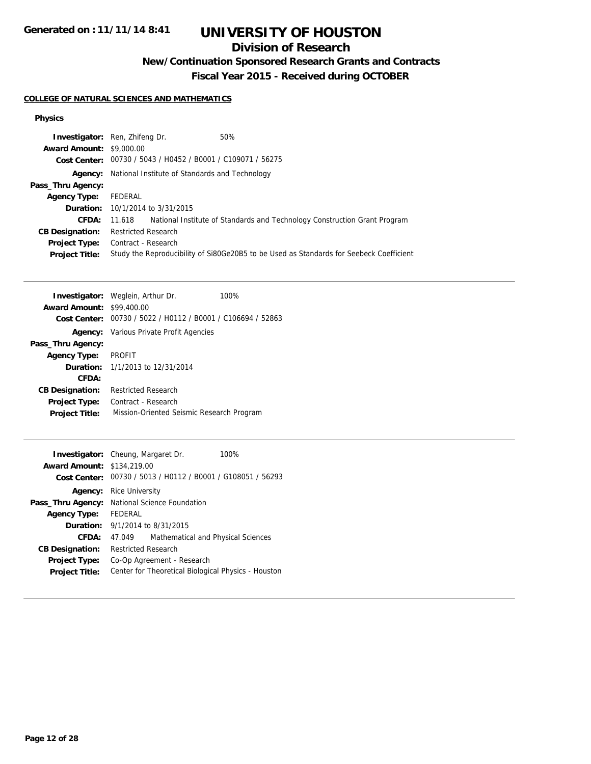### **Division of Research**

## **New/Continuation Sponsored Research Grants and Contracts**

**Fiscal Year 2015 - Received during OCTOBER**

#### **COLLEGE OF NATURAL SCIENCES AND MATHEMATICS**

#### **Physics**

| <b>Investigator:</b> Ren, Zhifeng Dr. |                            |                                                | 50%                                                                                     |
|---------------------------------------|----------------------------|------------------------------------------------|-----------------------------------------------------------------------------------------|
| <b>Award Amount: \$9,000.00</b>       |                            |                                                |                                                                                         |
| Cost Center:                          |                            | 00730 / 5043 / H0452 / B0001 / C109071 / 56275 |                                                                                         |
| Agency:                               |                            | National Institute of Standards and Technology |                                                                                         |
| Pass_Thru Agency:                     |                            |                                                |                                                                                         |
| <b>Agency Type:</b>                   | FEDERAL                    |                                                |                                                                                         |
|                                       |                            | <b>Duration:</b> 10/1/2014 to 3/31/2015        |                                                                                         |
| CFDA:                                 | 11.618                     |                                                | National Institute of Standards and Technology Construction Grant Program               |
| <b>CB Designation:</b>                | <b>Restricted Research</b> |                                                |                                                                                         |
| <b>Project Type:</b>                  | Contract - Research        |                                                |                                                                                         |
| <b>Project Title:</b>                 |                            |                                                | Study the Reproducibility of Si80Ge20B5 to be Used as Standards for Seebeck Coefficient |

|                                  | <b>Investigator:</b> Weglein, Arthur Dr.       | 100% |
|----------------------------------|------------------------------------------------|------|
| <b>Award Amount: \$99,400.00</b> |                                                |      |
| Cost Center:                     | 00730 / 5022 / H0112 / B0001 / C106694 / 52863 |      |
|                                  | <b>Agency:</b> Various Private Profit Agencies |      |
| Pass_Thru Agency:                |                                                |      |
| <b>Agency Type:</b>              | <b>PROFIT</b>                                  |      |
|                                  | <b>Duration:</b> 1/1/2013 to 12/31/2014        |      |
| CFDA:                            |                                                |      |
| <b>CB Designation:</b>           | <b>Restricted Research</b>                     |      |
| <b>Project Type:</b>             | Contract - Research                            |      |
| <b>Project Title:</b>            | Mission-Oriented Seismic Research Program      |      |
|                                  |                                                |      |

| <b>Investigator:</b> Cheung, Margaret Dr. |                            |                                                             | 100% |
|-------------------------------------------|----------------------------|-------------------------------------------------------------|------|
| <b>Award Amount: \$134,219.00</b>         |                            |                                                             |      |
|                                           |                            | Cost Center: 00730 / 5013 / H0112 / B0001 / G108051 / 56293 |      |
| Agency:                                   | Rice University            |                                                             |      |
| Pass_Thru Agency:                         |                            | National Science Foundation                                 |      |
| <b>Agency Type:</b>                       | <b>FFDFRAL</b>             |                                                             |      |
|                                           |                            | <b>Duration:</b> 9/1/2014 to 8/31/2015                      |      |
| CFDA:                                     | 47.049                     | Mathematical and Physical Sciences                          |      |
| <b>CB Designation:</b>                    | <b>Restricted Research</b> |                                                             |      |
| <b>Project Type:</b>                      |                            | Co-Op Agreement - Research                                  |      |
| <b>Project Title:</b>                     |                            | Center for Theoretical Biological Physics - Houston         |      |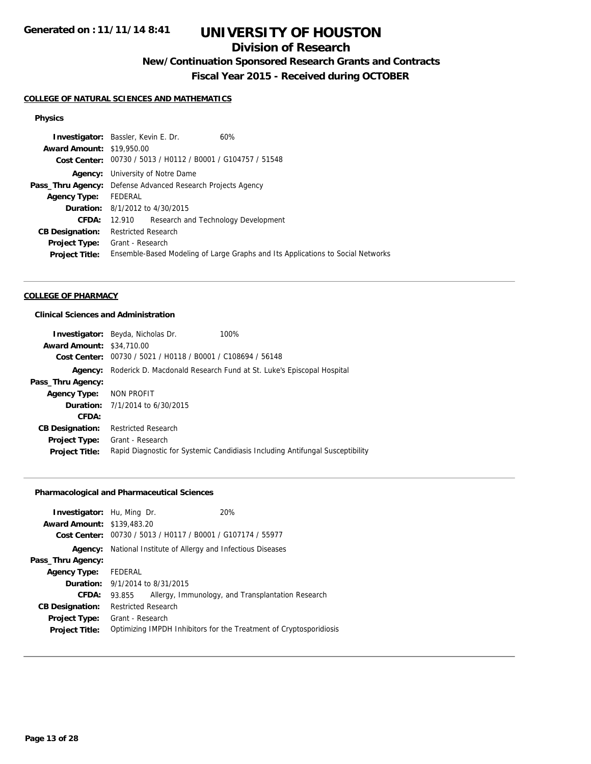## **Division of Research**

## **New/Continuation Sponsored Research Grants and Contracts**

**Fiscal Year 2015 - Received during OCTOBER**

#### **COLLEGE OF NATURAL SCIENCES AND MATHEMATICS**

#### **Physics**

| <b>Investigator:</b> Bassler, Kevin E. Dr. |                                                             |                                     | 60%                                                                             |
|--------------------------------------------|-------------------------------------------------------------|-------------------------------------|---------------------------------------------------------------------------------|
| <b>Award Amount: \$19,950.00</b>           |                                                             |                                     |                                                                                 |
|                                            | Cost Center: 00730 / 5013 / H0112 / B0001 / G104757 / 51548 |                                     |                                                                                 |
| Agency:                                    | University of Notre Dame                                    |                                     |                                                                                 |
| Pass_Thru Agency:                          | Defense Advanced Research Projects Agency                   |                                     |                                                                                 |
| <b>Agency Type:</b>                        | FEDERAL                                                     |                                     |                                                                                 |
|                                            | <b>Duration:</b> 8/1/2012 to 4/30/2015                      |                                     |                                                                                 |
| CFDA:                                      | 12.910                                                      | Research and Technology Development |                                                                                 |
| <b>CB Designation:</b>                     | <b>Restricted Research</b>                                  |                                     |                                                                                 |
| <b>Project Type:</b>                       | Grant - Research                                            |                                     |                                                                                 |
| <b>Project Title:</b>                      |                                                             |                                     | Ensemble-Based Modeling of Large Graphs and Its Applications to Social Networks |

#### **COLLEGE OF PHARMACY**

#### **Clinical Sciences and Administration**

|                                  | <b>Investigator:</b> Beyda, Nicholas Dr.<br>100%                              |
|----------------------------------|-------------------------------------------------------------------------------|
| <b>Award Amount: \$34,710.00</b> |                                                                               |
| Cost Center:                     | 00730 / 5021 / H0118 / B0001 / C108694 / 56148                                |
| Agency:                          | Roderick D. Macdonald Research Fund at St. Luke's Episcopal Hospital          |
| Pass_Thru Agency:                |                                                                               |
| Agency Type:                     | NON PROFIT                                                                    |
|                                  | <b>Duration:</b> $7/1/2014$ to $6/30/2015$                                    |
| CFDA:                            |                                                                               |
| <b>CB Designation:</b>           | <b>Restricted Research</b>                                                    |
| <b>Project Type:</b>             | Grant - Research                                                              |
| <b>Project Title:</b>            | Rapid Diagnostic for Systemic Candidiasis Including Antifungal Susceptibility |

#### **Pharmacological and Pharmaceutical Sciences**

| <b>Investigator:</b> Hu, Ming Dr.      |                                                       |                                                             | <b>20%</b>                                                         |
|----------------------------------------|-------------------------------------------------------|-------------------------------------------------------------|--------------------------------------------------------------------|
| <b>Award Amount: \$139,483.20</b>      |                                                       |                                                             |                                                                    |
|                                        |                                                       | Cost Center: 00730 / 5013 / H0117 / B0001 / G107174 / 55977 |                                                                    |
| Agency:                                | National Institute of Allergy and Infectious Diseases |                                                             |                                                                    |
| Pass_Thru Agency:                      |                                                       |                                                             |                                                                    |
| <b>Agency Type:</b>                    | FEDERAL                                               |                                                             |                                                                    |
| <b>Duration:</b> 9/1/2014 to 8/31/2015 |                                                       |                                                             |                                                                    |
| CFDA:                                  | 93.855                                                |                                                             | Allergy, Immunology, and Transplantation Research                  |
| <b>CB Designation:</b>                 | <b>Restricted Research</b>                            |                                                             |                                                                    |
| <b>Project Type:</b>                   | Grant - Research                                      |                                                             |                                                                    |
| <b>Project Title:</b>                  |                                                       |                                                             | Optimizing IMPDH Inhibitors for the Treatment of Cryptosporidiosis |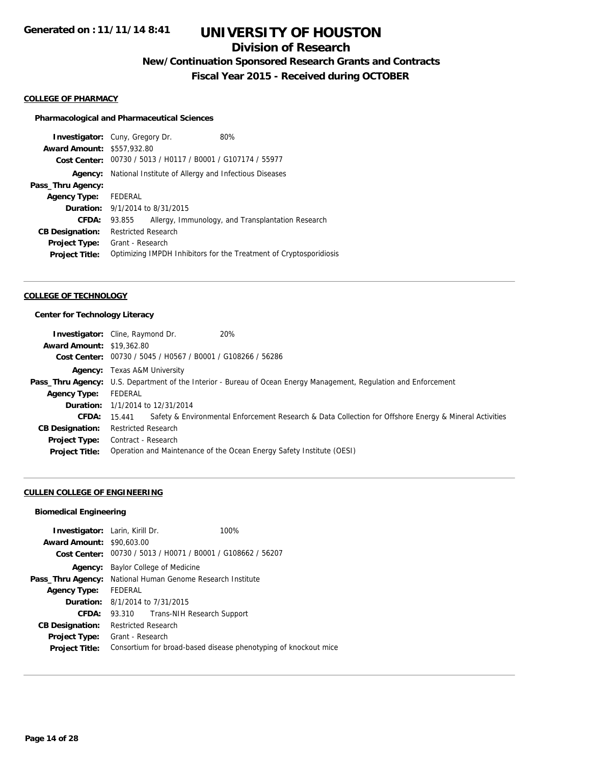## **Division of Research**

**New/Continuation Sponsored Research Grants and Contracts**

**Fiscal Year 2015 - Received during OCTOBER**

#### **COLLEGE OF PHARMACY**

#### **Pharmacological and Pharmaceutical Sciences**

|                                   | <b>Investigator:</b> Cuny, Gregory Dr.                | 80%                                                                |
|-----------------------------------|-------------------------------------------------------|--------------------------------------------------------------------|
| <b>Award Amount: \$557,932.80</b> |                                                       |                                                                    |
| Cost Center:                      | 00730 / 5013 / H0117 / B0001 / G107174 / 55977        |                                                                    |
| Agency:                           | National Institute of Allergy and Infectious Diseases |                                                                    |
| Pass_Thru Agency:                 |                                                       |                                                                    |
| <b>Agency Type:</b>               | <b>FEDERAL</b>                                        |                                                                    |
|                                   | <b>Duration:</b> 9/1/2014 to 8/31/2015                |                                                                    |
| CFDA:                             | 93.855                                                | Allergy, Immunology, and Transplantation Research                  |
| <b>CB Designation:</b>            | <b>Restricted Research</b>                            |                                                                    |
| <b>Project Type:</b>              | Grant - Research                                      |                                                                    |
| <b>Project Title:</b>             |                                                       | Optimizing IMPDH Inhibitors for the Treatment of Cryptosporidiosis |
|                                   |                                                       |                                                                    |

#### **COLLEGE OF TECHNOLOGY**

### **Center for Technology Literacy**

| <b>Investigator:</b> Cline, Raymond Dr. |                                         | 20%                                                                                                                      |
|-----------------------------------------|-----------------------------------------|--------------------------------------------------------------------------------------------------------------------------|
| <b>Award Amount: \$19,362.80</b>        |                                         |                                                                                                                          |
|                                         |                                         | Cost Center: 00730 / 5045 / H0567 / B0001 / G108266 / 56286                                                              |
|                                         | <b>Agency:</b> Texas A&M University     |                                                                                                                          |
|                                         |                                         | <b>Pass_Thru Agency:</b> U.S. Department of the Interior - Bureau of Ocean Energy Management, Regulation and Enforcement |
| Agency Type:                            | FEDERAL                                 |                                                                                                                          |
|                                         | <b>Duration:</b> 1/1/2014 to 12/31/2014 |                                                                                                                          |
| <b>CFDA:</b> 15.441                     |                                         | Safety & Environmental Enforcement Research & Data Collection for Offshore Energy & Mineral Activities                   |
| <b>CB Designation:</b>                  | Restricted Research                     |                                                                                                                          |
| <b>Project Type:</b>                    | Contract - Research                     |                                                                                                                          |
| <b>Project Title:</b>                   |                                         | Operation and Maintenance of the Ocean Energy Safety Institute (OESI)                                                    |

#### **CULLEN COLLEGE OF ENGINEERING**

#### **Biomedical Engineering**

| <b>Investigator:</b> Larin, Kirill Dr. |                                          |                                                             | 100%                                                            |
|----------------------------------------|------------------------------------------|-------------------------------------------------------------|-----------------------------------------------------------------|
| <b>Award Amount: \$90,603.00</b>       |                                          |                                                             |                                                                 |
|                                        |                                          | Cost Center: 00730 / 5013 / H0071 / B0001 / G108662 / 56207 |                                                                 |
| Agency:                                | Baylor College of Medicine               |                                                             |                                                                 |
| Pass_Thru Agency:                      | National Human Genome Research Institute |                                                             |                                                                 |
| <b>Agency Type:</b>                    | FEDERAL                                  |                                                             |                                                                 |
| <b>Duration:</b> 8/1/2014 to 7/31/2015 |                                          |                                                             |                                                                 |
| <b>CFDA:</b>                           |                                          | 93.310 Trans-NIH Research Support                           |                                                                 |
| <b>CB Designation:</b>                 | <b>Restricted Research</b>               |                                                             |                                                                 |
| Project Type:                          | Grant - Research                         |                                                             |                                                                 |
| <b>Project Title:</b>                  |                                          |                                                             | Consortium for broad-based disease phenotyping of knockout mice |
|                                        |                                          |                                                             |                                                                 |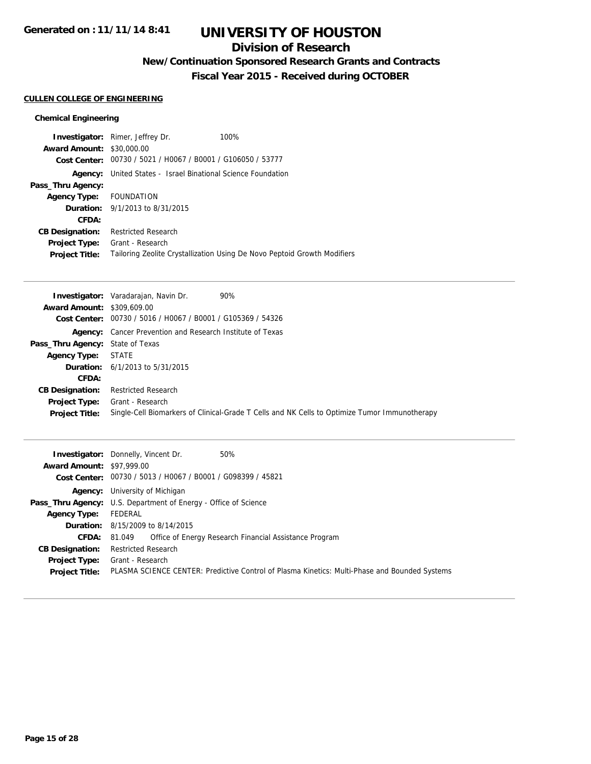### **Division of Research**

## **New/Continuation Sponsored Research Grants and Contracts**

**Fiscal Year 2015 - Received during OCTOBER**

#### **CULLEN COLLEGE OF ENGINEERING**

#### **Chemical Engineering**

|                                  | <b>Investigator:</b> Rimer, Jeffrey Dr.                     | 100%                                                                     |
|----------------------------------|-------------------------------------------------------------|--------------------------------------------------------------------------|
| <b>Award Amount: \$30,000.00</b> |                                                             |                                                                          |
|                                  | Cost Center: 00730 / 5021 / H0067 / B0001 / G106050 / 53777 |                                                                          |
| Agency:                          | United States - Israel Binational Science Foundation        |                                                                          |
| Pass_Thru Agency:                |                                                             |                                                                          |
| Agency Type: FOUNDATION          |                                                             |                                                                          |
|                                  | <b>Duration:</b> 9/1/2013 to 8/31/2015                      |                                                                          |
| CFDA:                            |                                                             |                                                                          |
| <b>CB Designation:</b>           | <b>Restricted Research</b>                                  |                                                                          |
| Project Type:                    | Grant - Research                                            |                                                                          |
| <b>Project Title:</b>            |                                                             | Tailoring Zeolite Crystallization Using De Novo Peptoid Growth Modifiers |

|                                         | <b>Investigator:</b> Varadarajan, Navin Dr.<br>90%                                            |
|-----------------------------------------|-----------------------------------------------------------------------------------------------|
| <b>Award Amount: \$309,609.00</b>       |                                                                                               |
|                                         | Cost Center: 00730 / 5016 / H0067 / B0001 / G105369 / 54326                                   |
|                                         | <b>Agency:</b> Cancer Prevention and Research Institute of Texas                              |
| <b>Pass_Thru Agency:</b> State of Texas |                                                                                               |
| <b>Agency Type:</b>                     | STATE                                                                                         |
|                                         | <b>Duration:</b> $6/1/2013$ to $5/31/2015$                                                    |
| CFDA:                                   |                                                                                               |
| <b>CB Designation:</b>                  | <b>Restricted Research</b>                                                                    |
|                                         | <b>Project Type:</b> Grant - Research                                                         |
| <b>Project Title:</b>                   | Single-Cell Biomarkers of Clinical-Grade T Cells and NK Cells to Optimize Tumor Immunotherapy |

| <b>Award Amount: \$97,999.00</b> | <b>Investigator:</b> Donnelly, Vincent Dr.<br>50%                                                            |
|----------------------------------|--------------------------------------------------------------------------------------------------------------|
|                                  | Cost Center: 00730 / 5013 / H0067 / B0001 / G098399 / 45821                                                  |
|                                  | <b>Agency:</b> University of Michigan                                                                        |
|                                  | <b>Pass_Thru Agency:</b> U.S. Department of Energy - Office of Science                                       |
| <b>Agency Type:</b>              | FEDERAL                                                                                                      |
|                                  | <b>Duration:</b> 8/15/2009 to 8/14/2015                                                                      |
| CFDA:                            | Office of Energy Research Financial Assistance Program<br>81.049                                             |
| <b>CB Designation:</b>           | <b>Restricted Research</b>                                                                                   |
| <b>Project Type:</b>             | Grant - Research                                                                                             |
|                                  | Project Title: PLASMA SCIENCE CENTER: Predictive Control of Plasma Kinetics: Multi-Phase and Bounded Systems |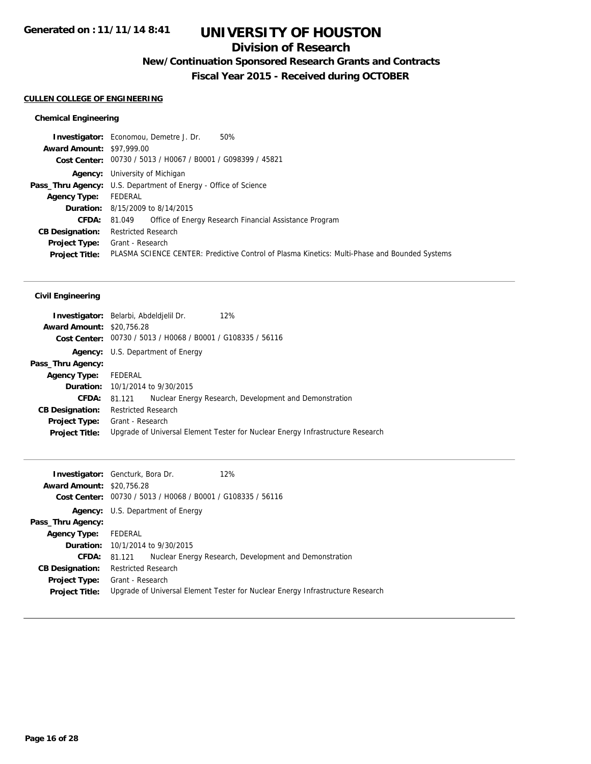### **Division of Research**

## **New/Continuation Sponsored Research Grants and Contracts**

**Fiscal Year 2015 - Received during OCTOBER**

#### **CULLEN COLLEGE OF ENGINEERING**

#### **Chemical Engineering**

| 50%<br><b>Investigator:</b> Economou, Demetre J. Dr.                                          |
|-----------------------------------------------------------------------------------------------|
| <b>Award Amount: \$97,999.00</b>                                                              |
| Cost Center: 00730 / 5013 / H0067 / B0001 / G098399 / 45821                                   |
| <b>Agency:</b> University of Michigan                                                         |
| <b>Pass_Thru Agency:</b> U.S. Department of Energy - Office of Science                        |
| FEDERAL                                                                                       |
| <b>Duration:</b> 8/15/2009 to 8/14/2015                                                       |
| <b>CFDA:</b> 81.049 Office of Energy Research Financial Assistance Program                    |
| <b>Restricted Research</b>                                                                    |
| <b>Project Type:</b> Grant - Research                                                         |
| PLASMA SCIENCE CENTER: Predictive Control of Plasma Kinetics: Multi-Phase and Bounded Systems |
|                                                                                               |

|                                  | 12%<br><b>Investigator:</b> Belarbi, Abdeldielil Dr.                           |  |  |
|----------------------------------|--------------------------------------------------------------------------------|--|--|
| <b>Award Amount: \$20,756.28</b> |                                                                                |  |  |
|                                  | Cost Center: 00730 / 5013 / H0068 / B0001 / G108335 / 56116                    |  |  |
|                                  | <b>Agency:</b> U.S. Department of Energy                                       |  |  |
| Pass_Thru Agency:                |                                                                                |  |  |
| <b>Agency Type:</b>              | FEDERAL                                                                        |  |  |
|                                  | <b>Duration:</b> 10/1/2014 to 9/30/2015                                        |  |  |
| CFDA:                            | Nuclear Energy Research, Development and Demonstration<br>81.121               |  |  |
| <b>CB Designation:</b>           | <b>Restricted Research</b>                                                     |  |  |
| <b>Project Type:</b>             | Grant - Research                                                               |  |  |
| <b>Project Title:</b>            | Upgrade of Universal Element Tester for Nuclear Energy Infrastructure Research |  |  |

|                                  | <b>Investigator:</b> Gencturk, Bora Dr.                                        | 12%                                                    |  |  |
|----------------------------------|--------------------------------------------------------------------------------|--------------------------------------------------------|--|--|
| <b>Award Amount: \$20,756.28</b> |                                                                                |                                                        |  |  |
|                                  | Cost Center: 00730 / 5013 / H0068 / B0001 / G108335 / 56116                    |                                                        |  |  |
|                                  | <b>Agency:</b> U.S. Department of Energy                                       |                                                        |  |  |
| Pass_Thru Agency:                |                                                                                |                                                        |  |  |
| Agency Type: FEDERAL             |                                                                                |                                                        |  |  |
|                                  | <b>Duration:</b> 10/1/2014 to 9/30/2015                                        |                                                        |  |  |
| <b>CFDA: 81.121</b>              |                                                                                | Nuclear Energy Research, Development and Demonstration |  |  |
| <b>CB Designation:</b>           | Restricted Research                                                            |                                                        |  |  |
| <b>Project Type:</b>             | Grant - Research                                                               |                                                        |  |  |
| <b>Project Title:</b>            | Upgrade of Universal Element Tester for Nuclear Energy Infrastructure Research |                                                        |  |  |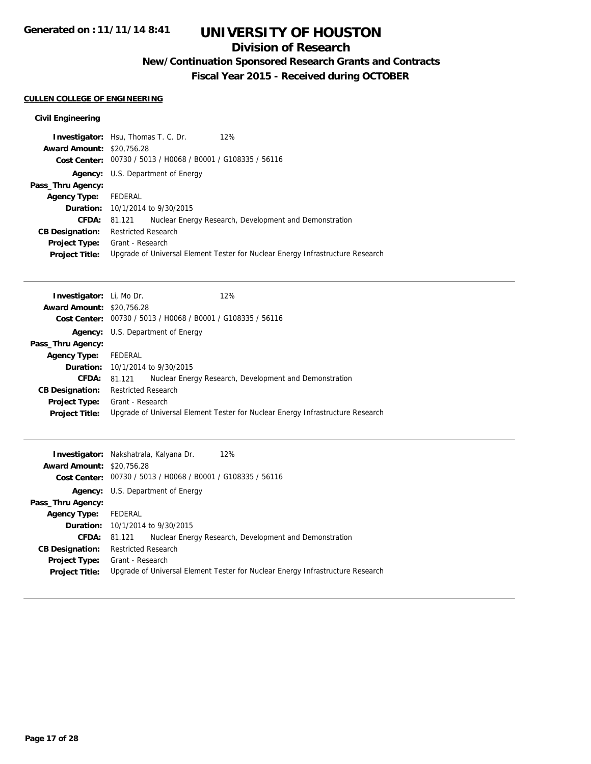### **Division of Research**

## **New/Continuation Sponsored Research Grants and Contracts**

**Fiscal Year 2015 - Received during OCTOBER**

### **CULLEN COLLEGE OF ENGINEERING**

| <b>Investigator:</b> Hsu, Thomas T. C. Dr. |                                       |                                                             | 12%                                                                            |
|--------------------------------------------|---------------------------------------|-------------------------------------------------------------|--------------------------------------------------------------------------------|
| <b>Award Amount: \$20,756.28</b>           |                                       |                                                             |                                                                                |
|                                            |                                       | Cost Center: 00730 / 5013 / H0068 / B0001 / G108335 / 56116 |                                                                                |
| Agency:                                    |                                       | U.S. Department of Energy                                   |                                                                                |
| Pass_Thru Agency:                          |                                       |                                                             |                                                                                |
| <b>Agency Type:</b>                        | FEDERAL                               |                                                             |                                                                                |
|                                            |                                       | <b>Duration:</b> 10/1/2014 to 9/30/2015                     |                                                                                |
| CFDA:                                      | 81.121                                |                                                             | Nuclear Energy Research, Development and Demonstration                         |
| <b>CB Designation:</b>                     | Restricted Research                   |                                                             |                                                                                |
|                                            | <b>Project Type:</b> Grant - Research |                                                             |                                                                                |
| <b>Project Title:</b>                      |                                       |                                                             | Upgrade of Universal Element Tester for Nuclear Energy Infrastructure Research |
|                                            |                                       |                                                             |                                                                                |

| <b>Investigator:</b> Li, Mo Dr.  |                                                             |                                          | 12%                                                                            |  |
|----------------------------------|-------------------------------------------------------------|------------------------------------------|--------------------------------------------------------------------------------|--|
| <b>Award Amount: \$20,756.28</b> |                                                             |                                          |                                                                                |  |
|                                  | Cost Center: 00730 / 5013 / H0068 / B0001 / G108335 / 56116 |                                          |                                                                                |  |
|                                  |                                                             | <b>Agency:</b> U.S. Department of Energy |                                                                                |  |
| Pass_Thru Agency:                |                                                             |                                          |                                                                                |  |
| <b>Agency Type:</b>              | FEDERAL                                                     |                                          |                                                                                |  |
|                                  |                                                             | <b>Duration:</b> 10/1/2014 to 9/30/2015  |                                                                                |  |
| <b>CFDA:</b>                     | 81.121                                                      |                                          | Nuclear Energy Research, Development and Demonstration                         |  |
| <b>CB Designation:</b>           | <b>Restricted Research</b>                                  |                                          |                                                                                |  |
|                                  | <b>Project Type:</b> Grant - Research                       |                                          |                                                                                |  |
| <b>Project Title:</b>            |                                                             |                                          | Upgrade of Universal Element Tester for Nuclear Energy Infrastructure Research |  |
|                                  |                                                             |                                          |                                                                                |  |

|                                  | 12%<br>Investigator: Nakshatrala, Kalyana Dr.                                  |  |  |
|----------------------------------|--------------------------------------------------------------------------------|--|--|
| <b>Award Amount: \$20,756.28</b> |                                                                                |  |  |
|                                  | Cost Center: 00730 / 5013 / H0068 / B0001 / G108335 / 56116                    |  |  |
|                                  | <b>Agency:</b> U.S. Department of Energy                                       |  |  |
| Pass_Thru Agency:                |                                                                                |  |  |
| <b>Agency Type:</b>              | FEDERAL                                                                        |  |  |
|                                  | <b>Duration:</b> 10/1/2014 to 9/30/2015                                        |  |  |
| <b>CFDA:</b>                     | Nuclear Energy Research, Development and Demonstration<br>81.121               |  |  |
| <b>CB Designation:</b>           | <b>Restricted Research</b>                                                     |  |  |
| <b>Project Type:</b>             | Grant - Research                                                               |  |  |
| <b>Project Title:</b>            | Upgrade of Universal Element Tester for Nuclear Energy Infrastructure Research |  |  |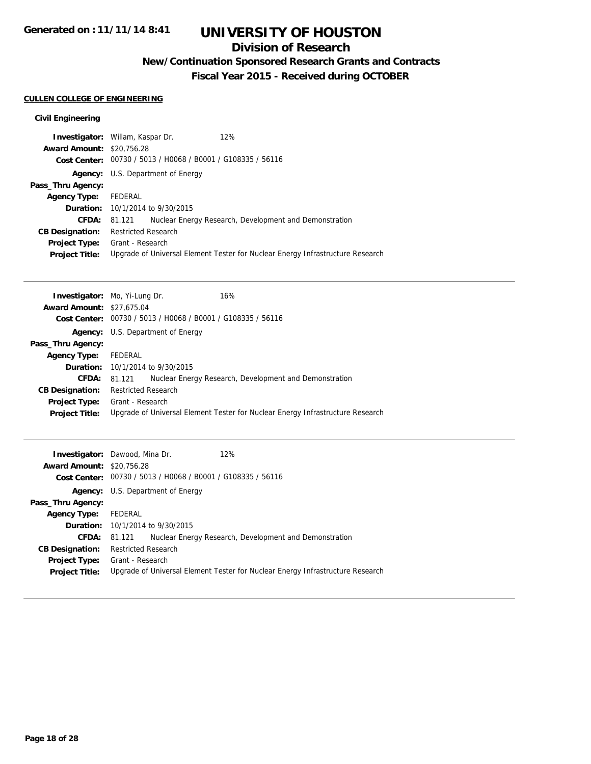### **Division of Research**

## **New/Continuation Sponsored Research Grants and Contracts**

**Fiscal Year 2015 - Received during OCTOBER**

## **CULLEN COLLEGE OF ENGINEERING**

| <b>Investigator:</b> Willam, Kaspar Dr. |                                         |                                                             | 12%                                                                            |  |
|-----------------------------------------|-----------------------------------------|-------------------------------------------------------------|--------------------------------------------------------------------------------|--|
| <b>Award Amount: \$20,756.28</b>        |                                         |                                                             |                                                                                |  |
|                                         |                                         | Cost Center: 00730 / 5013 / H0068 / B0001 / G108335 / 56116 |                                                                                |  |
| Agency:                                 |                                         | U.S. Department of Energy                                   |                                                                                |  |
| Pass_Thru Agency:                       |                                         |                                                             |                                                                                |  |
| <b>Agency Type:</b>                     | FEDERAL                                 |                                                             |                                                                                |  |
|                                         | <b>Duration:</b> 10/1/2014 to 9/30/2015 |                                                             |                                                                                |  |
| CFDA:                                   | 81.121                                  |                                                             | Nuclear Energy Research, Development and Demonstration                         |  |
| <b>CB Designation:</b>                  | Restricted Research                     |                                                             |                                                                                |  |
|                                         | <b>Project Type:</b> Grant - Research   |                                                             |                                                                                |  |
| <b>Project Title:</b>                   |                                         |                                                             | Upgrade of Universal Element Tester for Nuclear Energy Infrastructure Research |  |
|                                         |                                         |                                                             |                                                                                |  |

| <b>Investigator:</b> Mo, Yi-Lung Dr. |                                                             |                                          | 16%                                                                            |  |
|--------------------------------------|-------------------------------------------------------------|------------------------------------------|--------------------------------------------------------------------------------|--|
| <b>Award Amount: \$27,675.04</b>     |                                                             |                                          |                                                                                |  |
|                                      | Cost Center: 00730 / 5013 / H0068 / B0001 / G108335 / 56116 |                                          |                                                                                |  |
|                                      |                                                             | <b>Agency:</b> U.S. Department of Energy |                                                                                |  |
| Pass_Thru Agency:                    |                                                             |                                          |                                                                                |  |
| <b>Agency Type:</b>                  | FEDERAL                                                     |                                          |                                                                                |  |
|                                      |                                                             | <b>Duration:</b> 10/1/2014 to 9/30/2015  |                                                                                |  |
| <b>CFDA:</b>                         | 81.121                                                      |                                          | Nuclear Energy Research, Development and Demonstration                         |  |
| <b>CB Designation:</b>               | <b>Restricted Research</b>                                  |                                          |                                                                                |  |
|                                      | <b>Project Type:</b> Grant - Research                       |                                          |                                                                                |  |
| <b>Project Title:</b>                |                                                             |                                          | Upgrade of Universal Element Tester for Nuclear Energy Infrastructure Research |  |
|                                      |                                                             |                                          |                                                                                |  |

|                                  | <b>Investigator:</b> Dawood, Mina Dr.<br>12%                |                                                                                |
|----------------------------------|-------------------------------------------------------------|--------------------------------------------------------------------------------|
| <b>Award Amount: \$20,756.28</b> |                                                             |                                                                                |
|                                  | Cost Center: 00730 / 5013 / H0068 / B0001 / G108335 / 56116 |                                                                                |
|                                  | <b>Agency:</b> U.S. Department of Energy                    |                                                                                |
| Pass_Thru Agency:                |                                                             |                                                                                |
| <b>Agency Type:</b> FEDERAL      |                                                             |                                                                                |
|                                  | <b>Duration:</b> 10/1/2014 to 9/30/2015                     |                                                                                |
|                                  | <b>CFDA:</b> 81.121                                         | Nuclear Energy Research, Development and Demonstration                         |
| <b>CB Designation:</b>           | <b>Restricted Research</b>                                  |                                                                                |
|                                  | <b>Project Type:</b> Grant - Research                       |                                                                                |
| <b>Project Title:</b>            |                                                             | Upgrade of Universal Element Tester for Nuclear Energy Infrastructure Research |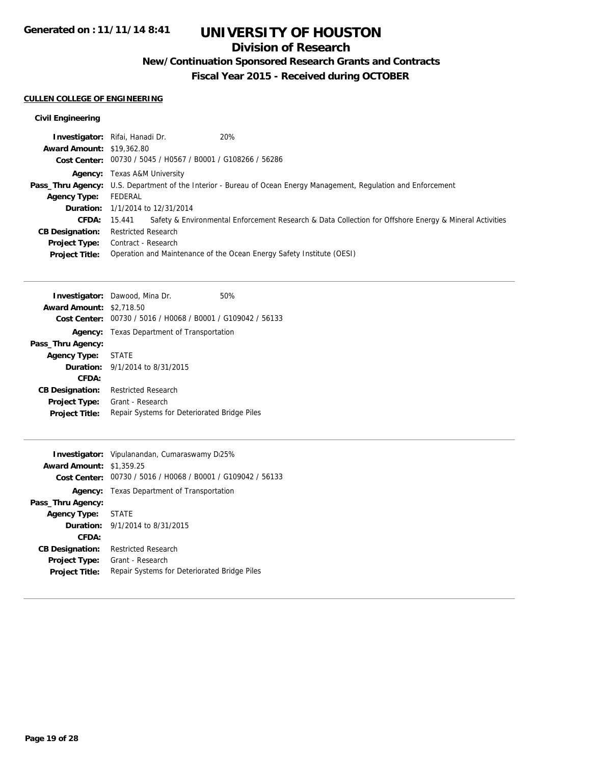## **Division of Research**

**New/Continuation Sponsored Research Grants and Contracts**

**Fiscal Year 2015 - Received during OCTOBER**

## **CULLEN COLLEGE OF ENGINEERING**

| <b>Investigator:</b> Rifai, Hanadi Dr. |                            |                                                             | 20%                                                                                                                      |
|----------------------------------------|----------------------------|-------------------------------------------------------------|--------------------------------------------------------------------------------------------------------------------------|
| <b>Award Amount: \$19,362.80</b>       |                            |                                                             |                                                                                                                          |
|                                        |                            | Cost Center: 00730 / 5045 / H0567 / B0001 / G108266 / 56286 |                                                                                                                          |
|                                        |                            | <b>Agency:</b> Texas A&M University                         |                                                                                                                          |
|                                        |                            |                                                             | <b>Pass_Thru Agency:</b> U.S. Department of the Interior - Bureau of Ocean Energy Management, Regulation and Enforcement |
| <b>Agency Type:</b>                    | FEDERAL                    |                                                             |                                                                                                                          |
|                                        |                            | <b>Duration:</b> 1/1/2014 to 12/31/2014                     |                                                                                                                          |
| CFDA:                                  | 15.441                     |                                                             | Safety & Environmental Enforcement Research & Data Collection for Offshore Energy & Mineral Activities                   |
| <b>CB Designation:</b>                 | <b>Restricted Research</b> |                                                             |                                                                                                                          |
| <b>Project Type:</b>                   | Contract - Research        |                                                             |                                                                                                                          |
| <b>Project Title:</b>                  |                            |                                                             | Operation and Maintenance of the Ocean Energy Safety Institute (OESI)                                                    |

|                                 | <b>Investigator:</b> Dawood, Mina Dr.                       | 50% |
|---------------------------------|-------------------------------------------------------------|-----|
| <b>Award Amount: \$2,718.50</b> |                                                             |     |
|                                 | Cost Center: 00730 / 5016 / H0068 / B0001 / G109042 / 56133 |     |
|                                 | <b>Agency:</b> Texas Department of Transportation           |     |
| Pass_Thru Agency:               |                                                             |     |
| Agency Type: STATE              |                                                             |     |
|                                 | <b>Duration:</b> 9/1/2014 to 8/31/2015                      |     |
| CFDA:                           |                                                             |     |
| <b>CB Designation:</b>          | <b>Restricted Research</b>                                  |     |
| Project Type:                   | Grant - Research                                            |     |
| <b>Project Title:</b>           | Repair Systems for Deteriorated Bridge Piles                |     |
|                                 |                                                             |     |

|                                 | Investigator: Vipulanandan, Cumaraswamy Di25%               |  |
|---------------------------------|-------------------------------------------------------------|--|
| <b>Award Amount: \$1,359.25</b> |                                                             |  |
|                                 | Cost Center: 00730 / 5016 / H0068 / B0001 / G109042 / 56133 |  |
|                                 | <b>Agency:</b> Texas Department of Transportation           |  |
| Pass_Thru Agency:               |                                                             |  |
| Agency Type: STATE              |                                                             |  |
|                                 | <b>Duration:</b> 9/1/2014 to 8/31/2015                      |  |
| CFDA:                           |                                                             |  |
| <b>CB Designation:</b>          | Restricted Research                                         |  |
| <b>Project Type:</b>            | Grant - Research                                            |  |
| <b>Project Title:</b>           | Repair Systems for Deteriorated Bridge Piles                |  |
|                                 |                                                             |  |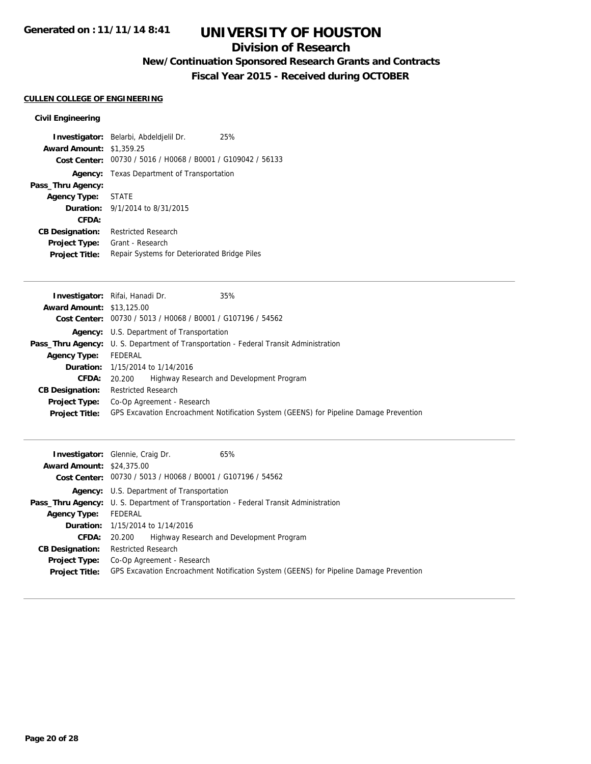### **Division of Research**

## **New/Continuation Sponsored Research Grants and Contracts**

**Fiscal Year 2015 - Received during OCTOBER**

#### **CULLEN COLLEGE OF ENGINEERING**

|                                 | Investigator: Belarbi, Abdeldjelil Dr.                      | 25% |
|---------------------------------|-------------------------------------------------------------|-----|
| <b>Award Amount: \$1,359.25</b> |                                                             |     |
|                                 | Cost Center: 00730 / 5016 / H0068 / B0001 / G109042 / 56133 |     |
|                                 | <b>Agency:</b> Texas Department of Transportation           |     |
| Pass_Thru Agency:               |                                                             |     |
| Agency Type: STATE              |                                                             |     |
|                                 | <b>Duration:</b> 9/1/2014 to 8/31/2015                      |     |
| CFDA:                           |                                                             |     |
| <b>CB Designation:</b>          | <b>Restricted Research</b>                                  |     |
| Project Type:                   | Grant - Research                                            |     |
| <b>Project Title:</b>           | Repair Systems for Deteriorated Bridge Piles                |     |

| 35%<br>Investigator: Rifai, Hanadi Dr.                                                       |
|----------------------------------------------------------------------------------------------|
| <b>Award Amount: \$13,125.00</b>                                                             |
| Cost Center: 00730 / 5013 / H0068 / B0001 / G107196 / 54562                                  |
| Agency: U.S. Department of Transportation                                                    |
| <b>Pass_Thru Agency:</b> U. S. Department of Transportation - Federal Transit Administration |
| FEDERAL                                                                                      |
| <b>Duration:</b> 1/15/2014 to 1/14/2016                                                      |
| Highway Research and Development Program<br>20.200                                           |
| <b>Restricted Research</b>                                                                   |
| Co-Op Agreement - Research                                                                   |
| GPS Excavation Encroachment Notification System (GEENS) for Pipeline Damage Prevention       |
|                                                                                              |

| <b>Award Amount: \$24,375.00</b> | 65%<br><b>Investigator:</b> Glennie, Craig Dr.                                               |
|----------------------------------|----------------------------------------------------------------------------------------------|
|                                  | Cost Center: 00730 / 5013 / H0068 / B0001 / G107196 / 54562                                  |
|                                  | <b>Agency:</b> U.S. Department of Transportation                                             |
|                                  | <b>Pass_Thru Agency:</b> U. S. Department of Transportation - Federal Transit Administration |
| <b>Agency Type:</b>              | FEDERAL                                                                                      |
|                                  | <b>Duration:</b> 1/15/2014 to 1/14/2016                                                      |
| <b>CFDA:</b>                     | Highway Research and Development Program<br>20.200                                           |
| <b>CB Designation:</b>           | <b>Restricted Research</b>                                                                   |
| <b>Project Type:</b>             | Co-Op Agreement - Research                                                                   |
| <b>Project Title:</b>            | GPS Excavation Encroachment Notification System (GEENS) for Pipeline Damage Prevention       |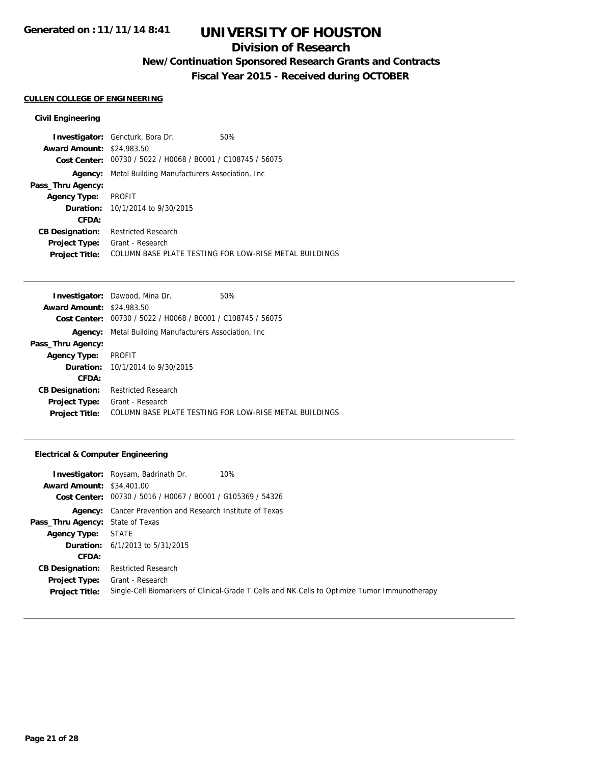## **Division of Research**

## **New/Continuation Sponsored Research Grants and Contracts**

**Fiscal Year 2015 - Received during OCTOBER**

#### **CULLEN COLLEGE OF ENGINEERING**

#### **Civil Engineering**

|                                  | <b>Investigator:</b> Gencturk, Bora Dr.                     | 50%                                                    |
|----------------------------------|-------------------------------------------------------------|--------------------------------------------------------|
| <b>Award Amount: \$24,983.50</b> |                                                             |                                                        |
|                                  | Cost Center: 00730 / 5022 / H0068 / B0001 / C108745 / 56075 |                                                        |
| Agency:                          | Metal Building Manufacturers Association, Inc.              |                                                        |
| Pass_Thru Agency:                |                                                             |                                                        |
| <b>Agency Type:</b>              | PROFIT                                                      |                                                        |
|                                  | <b>Duration:</b> 10/1/2014 to 9/30/2015                     |                                                        |
| CFDA:                            |                                                             |                                                        |
| <b>CB Designation:</b>           | <b>Restricted Research</b>                                  |                                                        |
| <b>Project Type:</b>             | Grant - Research                                            |                                                        |
| <b>Project Title:</b>            |                                                             | COLUMN BASE PLATE TESTING FOR LOW-RISE METAL BUILDINGS |

|                                  | <b>Investigator:</b> Dawood, Mina Dr.          | 50%                                                    |
|----------------------------------|------------------------------------------------|--------------------------------------------------------|
| <b>Award Amount: \$24,983.50</b> |                                                |                                                        |
| Cost Center:                     | 00730 / 5022 / H0068 / B0001 / C108745 / 56075 |                                                        |
| Agency:                          | Metal Building Manufacturers Association, Inc. |                                                        |
| Pass_Thru Agency:                |                                                |                                                        |
| <b>Agency Type:</b>              | <b>PROFIT</b>                                  |                                                        |
|                                  | <b>Duration:</b> 10/1/2014 to 9/30/2015        |                                                        |
| CFDA:                            |                                                |                                                        |
| <b>CB Designation:</b>           | <b>Restricted Research</b>                     |                                                        |
| <b>Project Type:</b>             | Grant - Research                               |                                                        |
| <b>Project Title:</b>            |                                                | COLUMN BASE PLATE TESTING FOR LOW-RISE METAL BUILDINGS |

#### **Electrical & Computer Engineering**

| <b>Award Amount: \$34,401.00</b>              | <b>Investigator:</b> Roysam, Badrinath Dr.<br>10%<br>Cost Center: 00730 / 5016 / H0067 / B0001 / G105369 / 54326  |
|-----------------------------------------------|-------------------------------------------------------------------------------------------------------------------|
|                                               | <b>Agency:</b> Cancer Prevention and Research Institute of Texas                                                  |
| <b>Pass_Thru Agency:</b> State of Texas       |                                                                                                                   |
| <b>Agency Type:</b>                           | <b>STATE</b>                                                                                                      |
|                                               | <b>Duration:</b> $6/1/2013$ to $5/31/2015$                                                                        |
| CFDA:                                         |                                                                                                                   |
| <b>CB Designation:</b>                        | <b>Restricted Research</b>                                                                                        |
| <b>Project Type:</b><br><b>Project Title:</b> | Grant - Research<br>Single-Cell Biomarkers of Clinical-Grade T Cells and NK Cells to Optimize Tumor Immunotherapy |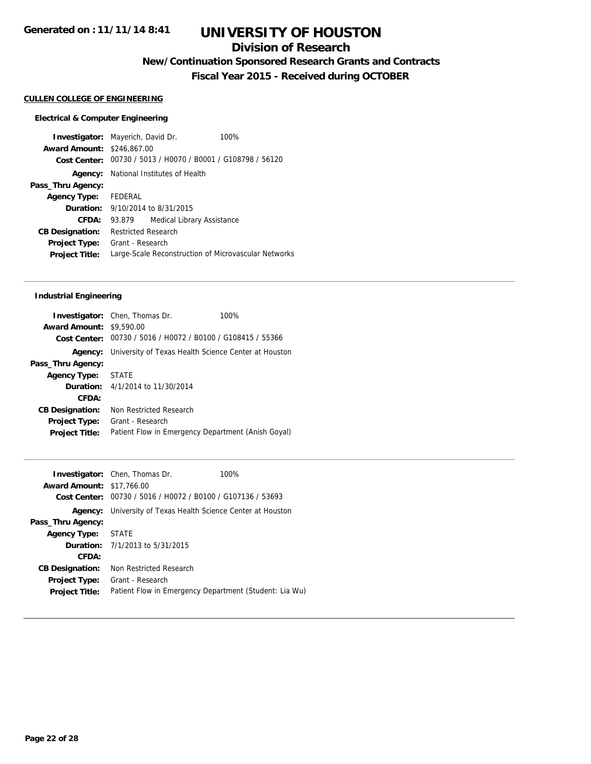### **Division of Research**

**New/Continuation Sponsored Research Grants and Contracts**

**Fiscal Year 2015 - Received during OCTOBER**

#### **CULLEN COLLEGE OF ENGINEERING**

#### **Electrical & Computer Engineering**

**Investigator:** Mayerich, David Dr. 100% **Award Amount:** \$246,867.00 **Cost Center:** 00730 / 5013 / H0070 / B0001 / G108798 / 56120 **Agency:** National Institutes of Health **Pass\_Thru Agency: Agency Type:** FEDERAL **Duration:** 9/10/2014 to 8/31/2015 **CFDA:** 93.879 Medical Library Assistance **CB Designation:** Restricted Research **Project Type:** Grant - Research **Project Title:** Large-Scale Reconstruction of Microvascular Networks

#### **Industrial Engineering**

|                                 | <b>Investigator:</b> Chen, Thomas Dr.                       | 100% |
|---------------------------------|-------------------------------------------------------------|------|
| <b>Award Amount: \$9,590.00</b> |                                                             |      |
|                                 | Cost Center: 00730 / 5016 / H0072 / B0100 / G108415 / 55366 |      |
| Agency:                         | University of Texas Health Science Center at Houston        |      |
| Pass_Thru Agency:               |                                                             |      |
| <b>Agency Type:</b>             | STATF                                                       |      |
| Duration:                       | 4/1/2014 to 11/30/2014                                      |      |
| CFDA:                           |                                                             |      |
| <b>CB Designation:</b>          | Non Restricted Research                                     |      |
| <b>Project Type:</b>            | Grant - Research                                            |      |
| <b>Project Title:</b>           | Patient Flow in Emergency Department (Anish Goyal)          |      |

|                                  | <b>Investigator:</b> Chen, Thomas Dr.                               | 100% |
|----------------------------------|---------------------------------------------------------------------|------|
| <b>Award Amount: \$17,766.00</b> |                                                                     |      |
| <b>Cost Center:</b>              | 00730 / 5016 / H0072 / B0100 / G107136 / 53693                      |      |
|                                  | <b>Agency:</b> University of Texas Health Science Center at Houston |      |
| Pass_Thru Agency:                |                                                                     |      |
| <b>Agency Type: STATE</b>        |                                                                     |      |
|                                  | <b>Duration:</b> $7/1/2013$ to $5/31/2015$                          |      |
| CFDA:                            |                                                                     |      |
| <b>CB Designation:</b>           | Non Restricted Research                                             |      |
| <b>Project Type:</b>             | Grant - Research                                                    |      |
| <b>Project Title:</b>            | Patient Flow in Emergency Department (Student: Lia Wu)              |      |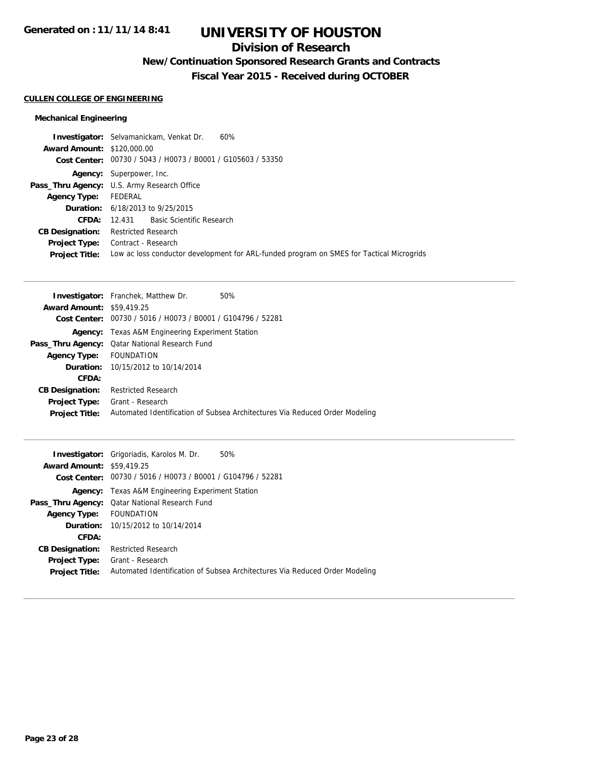### **Division of Research**

## **New/Continuation Sponsored Research Grants and Contracts**

**Fiscal Year 2015 - Received during OCTOBER**

#### **CULLEN COLLEGE OF ENGINEERING**

#### **Mechanical Engineering**

| 60%<br><b>Investigator:</b> Selvamanickam, Venkat Dr.                                    |
|------------------------------------------------------------------------------------------|
| <b>Award Amount: \$120,000.00</b>                                                        |
| Cost Center: 00730 / 5043 / H0073 / B0001 / G105603 / 53350                              |
| <b>Agency:</b> Superpower, Inc.                                                          |
| <b>Pass_Thru Agency:</b> U.S. Army Research Office                                       |
| FEDERAL                                                                                  |
| <b>Duration:</b> 6/18/2013 to 9/25/2015                                                  |
| 12.431 Basic Scientific Research                                                         |
| Restricted Research                                                                      |
| Contract - Research                                                                      |
| Low ac loss conductor development for ARL-funded program on SMES for Tactical Microgrids |
|                                                                                          |

|                                  | <b>Investigator:</b> Franchek, Matthew Dr.<br>50%                           |
|----------------------------------|-----------------------------------------------------------------------------|
| <b>Award Amount: \$59,419.25</b> |                                                                             |
| Cost Center:                     | 00730 / 5016 / H0073 / B0001 / G104796 / 52281                              |
|                                  | <b>Agency:</b> Texas A&M Engineering Experiment Station                     |
|                                  | <b>Pass_Thru Agency:</b> Qatar National Research Fund                       |
| <b>Agency Type:</b>              | FOUNDATION                                                                  |
|                                  | <b>Duration:</b> 10/15/2012 to 10/14/2014                                   |
| CFDA:                            |                                                                             |
| <b>CB Designation:</b>           | <b>Restricted Research</b>                                                  |
| <b>Project Type:</b>             | Grant - Research                                                            |
| <b>Project Title:</b>            | Automated Identification of Subsea Architectures Via Reduced Order Modeling |
|                                  |                                                                             |

|                                  | 50%<br><b>Investigator:</b> Grigoriadis, Karolos M. Dr.                     |
|----------------------------------|-----------------------------------------------------------------------------|
| <b>Award Amount: \$59,419.25</b> |                                                                             |
|                                  | Cost Center: 00730 / 5016 / H0073 / B0001 / G104796 / 52281                 |
| Agency:                          | Texas A&M Engineering Experiment Station                                    |
|                                  | <b>Pass_Thru Agency:</b> Qatar National Research Fund                       |
| <b>Agency Type:</b>              | FOUNDATION                                                                  |
|                                  | <b>Duration:</b> 10/15/2012 to 10/14/2014                                   |
| CFDA:                            |                                                                             |
| <b>CB Designation:</b>           | <b>Restricted Research</b>                                                  |
| <b>Project Type:</b>             | Grant - Research                                                            |
| <b>Project Title:</b>            | Automated Identification of Subsea Architectures Via Reduced Order Modeling |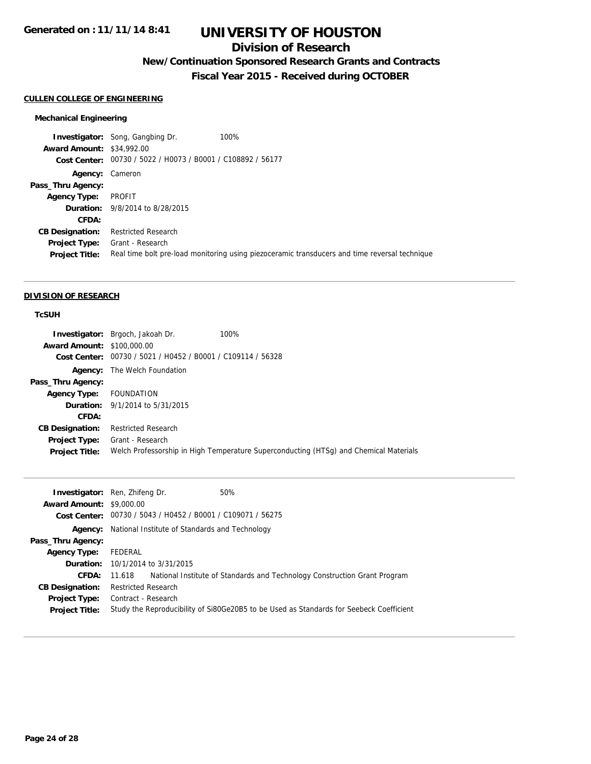### **Division of Research**

## **New/Continuation Sponsored Research Grants and Contracts**

**Fiscal Year 2015 - Received during OCTOBER**

#### **CULLEN COLLEGE OF ENGINEERING**

#### **Mechanical Engineering**

|                                  | <b>Investigator:</b> Song, Gangbing Dr.                     | 100%                                                                                          |
|----------------------------------|-------------------------------------------------------------|-----------------------------------------------------------------------------------------------|
| <b>Award Amount: \$34,992.00</b> |                                                             |                                                                                               |
|                                  | Cost Center: 00730 / 5022 / H0073 / B0001 / C108892 / 56177 |                                                                                               |
| Agency:                          | Cameron                                                     |                                                                                               |
| Pass_Thru Agency:                |                                                             |                                                                                               |
| <b>Agency Type:</b>              | PROFIT                                                      |                                                                                               |
|                                  | <b>Duration:</b> 9/8/2014 to 8/28/2015                      |                                                                                               |
| CFDA:                            |                                                             |                                                                                               |
| <b>CB Designation:</b>           | <b>Restricted Research</b>                                  |                                                                                               |
| <b>Project Type:</b>             | Grant - Research                                            |                                                                                               |
| <b>Project Title:</b>            |                                                             | Real time bolt pre-load monitoring using piezoceramic transducers and time reversal technique |

#### **DIVISION OF RESEARCH**

### **TcSUH**

|                                   | <b>Investigator:</b> Brgoch, Jakoah Dr.                     | 100%                                                                                  |
|-----------------------------------|-------------------------------------------------------------|---------------------------------------------------------------------------------------|
| <b>Award Amount: \$100,000.00</b> |                                                             |                                                                                       |
|                                   | Cost Center: 00730 / 5021 / H0452 / B0001 / C109114 / 56328 |                                                                                       |
|                                   | <b>Agency:</b> The Welch Foundation                         |                                                                                       |
| Pass_Thru Agency:                 |                                                             |                                                                                       |
| Agency Type: FOUNDATION           |                                                             |                                                                                       |
|                                   | <b>Duration:</b> 9/1/2014 to 5/31/2015                      |                                                                                       |
| CFDA:                             |                                                             |                                                                                       |
| <b>CB Designation:</b>            | <b>Restricted Research</b>                                  |                                                                                       |
| <b>Project Type:</b>              | Grant - Research                                            |                                                                                       |
| <b>Project Title:</b>             |                                                             | Welch Professorship in High Temperature Superconducting (HTSg) and Chemical Materials |

|                                 | <b>Investigator:</b> Ren, Zhifeng Dr.<br>50%                                            |
|---------------------------------|-----------------------------------------------------------------------------------------|
| <b>Award Amount: \$9,000.00</b> |                                                                                         |
|                                 | Cost Center: 00730 / 5043 / H0452 / B0001 / C109071 / 56275                             |
|                                 | <b>Agency:</b> National Institute of Standards and Technology                           |
| Pass_Thru Agency:               |                                                                                         |
| <b>Agency Type:</b>             | FEDERAL                                                                                 |
|                                 | <b>Duration:</b> 10/1/2014 to 3/31/2015                                                 |
| <b>CFDA:</b>                    | 11.618 • National Institute of Standards and Technology Construction Grant Program      |
| <b>CB Designation:</b>          | <b>Restricted Research</b>                                                              |
| <b>Project Type:</b>            | Contract - Research                                                                     |
| <b>Project Title:</b>           | Study the Reproducibility of Si80Ge20B5 to be Used as Standards for Seebeck Coefficient |
|                                 |                                                                                         |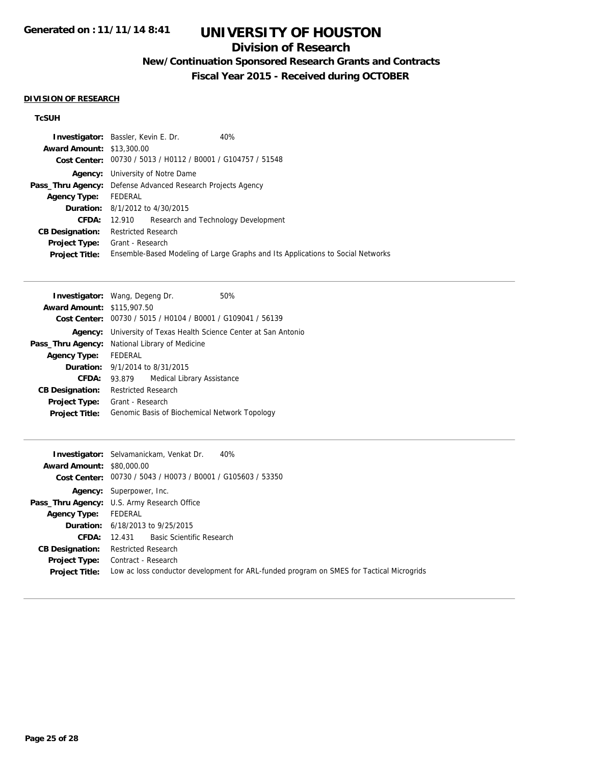### **Division of Research**

## **New/Continuation Sponsored Research Grants and Contracts**

**Fiscal Year 2015 - Received during OCTOBER**

#### **DIVISION OF RESEARCH**

### **TcSUH**

|                                  | <b>Investigator:</b> Bassler, Kevin E. Dr.                         | 40%                                                                             |  |
|----------------------------------|--------------------------------------------------------------------|---------------------------------------------------------------------------------|--|
| <b>Award Amount: \$13,300.00</b> |                                                                    |                                                                                 |  |
|                                  | Cost Center: 00730 / 5013 / H0112 / B0001 / G104757 / 51548        |                                                                                 |  |
| Agency:                          | University of Notre Dame                                           |                                                                                 |  |
|                                  | <b>Pass_Thru Agency:</b> Defense Advanced Research Projects Agency |                                                                                 |  |
| <b>Agency Type:</b>              | FEDERAL                                                            |                                                                                 |  |
|                                  | <b>Duration:</b> 8/1/2012 to 4/30/2015                             |                                                                                 |  |
| CFDA:                            | Research and Technology Development<br>12.910                      |                                                                                 |  |
| <b>CB Designation:</b>           | Restricted Research                                                |                                                                                 |  |
| <b>Project Type:</b>             | Grant - Research                                                   |                                                                                 |  |
| <b>Project Title:</b>            |                                                                    | Ensemble-Based Modeling of Large Graphs and Its Applications to Social Networks |  |

|                                                       | <b>Investigator:</b> Wang, Degeng Dr.                       |                            | 50% |
|-------------------------------------------------------|-------------------------------------------------------------|----------------------------|-----|
| <b>Award Amount: \$115,907.50</b>                     |                                                             |                            |     |
|                                                       | Cost Center: 00730 / 5015 / H0104 / B0001 / G109041 / 56139 |                            |     |
| Agency:                                               | University of Texas Health Science Center at San Antonio    |                            |     |
| <b>Pass_Thru Agency:</b> National Library of Medicine |                                                             |                            |     |
| <b>Agency Type:</b>                                   | <b>FEDERAL</b>                                              |                            |     |
|                                                       | <b>Duration:</b> $9/1/2014$ to $8/31/2015$                  |                            |     |
| CFDA:                                                 | 93.879                                                      | Medical Library Assistance |     |
| <b>CB Designation:</b>                                | <b>Restricted Research</b>                                  |                            |     |
| <b>Project Type:</b>                                  | Grant - Research                                            |                            |     |
| <b>Project Title:</b>                                 | Genomic Basis of Biochemical Network Topology               |                            |     |

|                                  | <b>Investigator:</b> Selvamanickam, Venkat Dr.<br>40%                                    |
|----------------------------------|------------------------------------------------------------------------------------------|
| <b>Award Amount: \$80,000.00</b> |                                                                                          |
|                                  | Cost Center: 00730 / 5043 / H0073 / B0001 / G105603 / 53350                              |
|                                  | <b>Agency:</b> Superpower, Inc.                                                          |
|                                  | <b>Pass_Thru Agency:</b> U.S. Army Research Office                                       |
| <b>Agency Type:</b>              | FEDERAL                                                                                  |
|                                  | <b>Duration:</b> 6/18/2013 to 9/25/2015                                                  |
| CFDA:                            | 12.431 Basic Scientific Research                                                         |
| <b>CB Designation:</b>           | <b>Restricted Research</b>                                                               |
|                                  | <b>Project Type:</b> Contract - Research                                                 |
| <b>Project Title:</b>            | Low ac loss conductor development for ARL-funded program on SMES for Tactical Microgrids |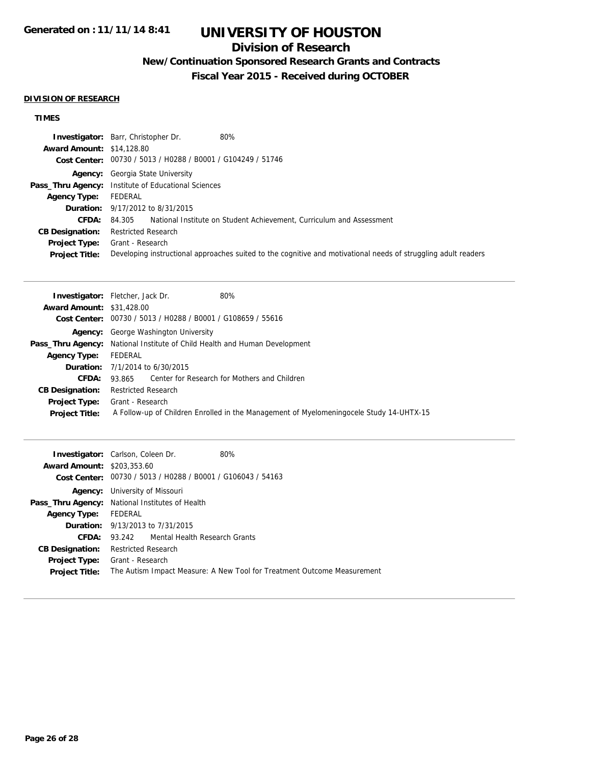### **Division of Research**

## **New/Continuation Sponsored Research Grants and Contracts**

**Fiscal Year 2015 - Received during OCTOBER**

#### **DIVISION OF RESEARCH**

## **TIMES**

|                                  | Investigator: Barr, Christopher Dr.<br>80%                                                                     |
|----------------------------------|----------------------------------------------------------------------------------------------------------------|
| <b>Award Amount: \$14,128.80</b> |                                                                                                                |
|                                  | Cost Center: 00730 / 5013 / H0288 / B0001 / G104249 / 51746                                                    |
|                                  | <b>Agency:</b> Georgia State University                                                                        |
|                                  | <b>Pass_Thru Agency:</b> Institute of Educational Sciences                                                     |
| <b>Agency Type:</b>              | FEDERAL                                                                                                        |
|                                  | <b>Duration:</b> 9/17/2012 to 8/31/2015                                                                        |
| <b>CFDA:</b>                     | National Institute on Student Achievement, Curriculum and Assessment<br>84.305                                 |
| <b>CB Designation:</b>           | <b>Restricted Research</b>                                                                                     |
| <b>Project Type:</b>             | Grant - Research                                                                                               |
| <b>Project Title:</b>            | Developing instructional approaches suited to the cognitive and motivational needs of struggling adult readers |

| <b>Investigator:</b> Fletcher, Jack Dr.<br>80%                                          |
|-----------------------------------------------------------------------------------------|
| <b>Award Amount: \$31,428.00</b>                                                        |
| Cost Center: 00730 / 5013 / H0288 / B0001 / G108659 / 55616                             |
| <b>Agency:</b> George Washington University                                             |
| <b>Pass_Thru Agency:</b> National Institute of Child Health and Human Development       |
| FEDERAL                                                                                 |
| <b>Duration:</b> 7/1/2014 to 6/30/2015                                                  |
| 93.865 Center for Research for Mothers and Children                                     |
| <b>Restricted Research</b>                                                              |
| Grant - Research                                                                        |
| A Follow-up of Children Enrolled in the Management of Myelomeningocele Study 14-UHTX-15 |
|                                                                                         |

|                                   | <b>Investigator:</b> Carlson, Coleen Dr.                    | 80%                                                                     |
|-----------------------------------|-------------------------------------------------------------|-------------------------------------------------------------------------|
| <b>Award Amount: \$203,353.60</b> |                                                             |                                                                         |
|                                   | Cost Center: 00730 / 5013 / H0288 / B0001 / G106043 / 54163 |                                                                         |
| Agency:                           | University of Missouri                                      |                                                                         |
|                                   | Pass_Thru Agency: National Institutes of Health             |                                                                         |
| <b>Agency Type:</b> FEDERAL       |                                                             |                                                                         |
|                                   | <b>Duration:</b> 9/13/2013 to 7/31/2015                     |                                                                         |
| CFDA:                             | 93.242 Mental Health Research Grants                        |                                                                         |
| <b>CB Designation:</b>            | <b>Restricted Research</b>                                  |                                                                         |
|                                   | <b>Project Type:</b> Grant - Research                       |                                                                         |
| <b>Project Title:</b>             |                                                             | The Autism Impact Measure: A New Tool for Treatment Outcome Measurement |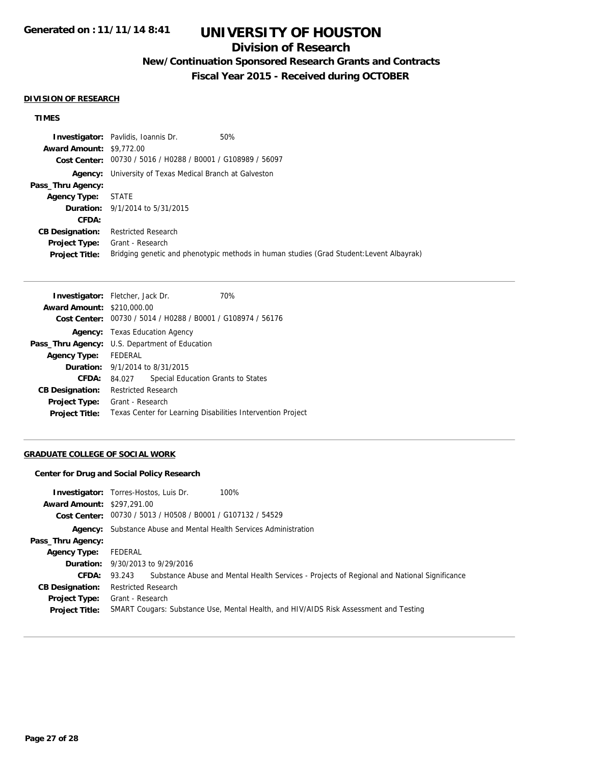### **Division of Research**

## **New/Continuation Sponsored Research Grants and Contracts**

**Fiscal Year 2015 - Received during OCTOBER**

#### **DIVISION OF RESEARCH**

#### **TIMES**

|                                 | <b>Investigator:</b> Pavlidis, Ioannis Dr.                     | 50%                                                                                      |
|---------------------------------|----------------------------------------------------------------|------------------------------------------------------------------------------------------|
| <b>Award Amount: \$9,772.00</b> |                                                                |                                                                                          |
|                                 | Cost Center: 00730 / 5016 / H0288 / B0001 / G108989 / 56097    |                                                                                          |
|                                 | <b>Agency:</b> University of Texas Medical Branch at Galveston |                                                                                          |
| Pass_Thru Agency:               |                                                                |                                                                                          |
| <b>Agency Type: STATE</b>       |                                                                |                                                                                          |
|                                 | <b>Duration:</b> 9/1/2014 to 5/31/2015                         |                                                                                          |
| CFDA:                           |                                                                |                                                                                          |
| <b>CB Designation:</b>          | Restricted Research                                            |                                                                                          |
| <b>Project Type:</b>            | Grant - Research                                               |                                                                                          |
| <b>Project Title:</b>           |                                                                | Bridging genetic and phenotypic methods in human studies (Grad Student: Levent Albayrak) |

| <b>Investigator:</b> Fletcher, Jack Dr. |                                                             |                                    | 70% |
|-----------------------------------------|-------------------------------------------------------------|------------------------------------|-----|
| <b>Award Amount: \$210,000.00</b>       |                                                             |                                    |     |
|                                         | Cost Center: 00730 / 5014 / H0288 / B0001 / G108974 / 56176 |                                    |     |
|                                         | <b>Agency:</b> Texas Education Agency                       |                                    |     |
|                                         | <b>Pass_Thru Agency:</b> U.S. Department of Education       |                                    |     |
| <b>Agency Type:</b>                     | FEDERAL                                                     |                                    |     |
|                                         | <b>Duration:</b> 9/1/2014 to 8/31/2015                      |                                    |     |
| <b>CFDA:</b>                            | 84.027                                                      | Special Education Grants to States |     |
| <b>CB Designation:</b>                  | <b>Restricted Research</b>                                  |                                    |     |
| <b>Project Type:</b>                    | Grant - Research                                            |                                    |     |
| <b>Project Title:</b>                   | Texas Center for Learning Disabilities Intervention Project |                                    |     |

#### **GRADUATE COLLEGE OF SOCIAL WORK**

#### **Center for Drug and Social Policy Research**

| <b>Award Amount: \$297,291.00</b>      | 100%<br><b>Investigator:</b> Torres-Hostos, Luis Dr.<br>Cost Center: 00730 / 5013 / H0508 / B0001 / G107132 / 54529 |
|----------------------------------------|---------------------------------------------------------------------------------------------------------------------|
|                                        | <b>Agency:</b> Substance Abuse and Mental Health Services Administration                                            |
| Pass_Thru Agency:                      |                                                                                                                     |
| <b>Agency Type:</b>                    | FEDERAL                                                                                                             |
|                                        | <b>Duration:</b> 9/30/2013 to 9/29/2016                                                                             |
|                                        | <b>CFDA:</b> 93.243 Substance Abuse and Mental Health Services - Projects of Regional and National Significance     |
| <b>CB Designation:</b>                 | <b>Restricted Research</b>                                                                                          |
| Project Type:<br><b>Project Title:</b> | Grant - Research<br>SMART Cougars: Substance Use, Mental Health, and HIV/AIDS Risk Assessment and Testing           |